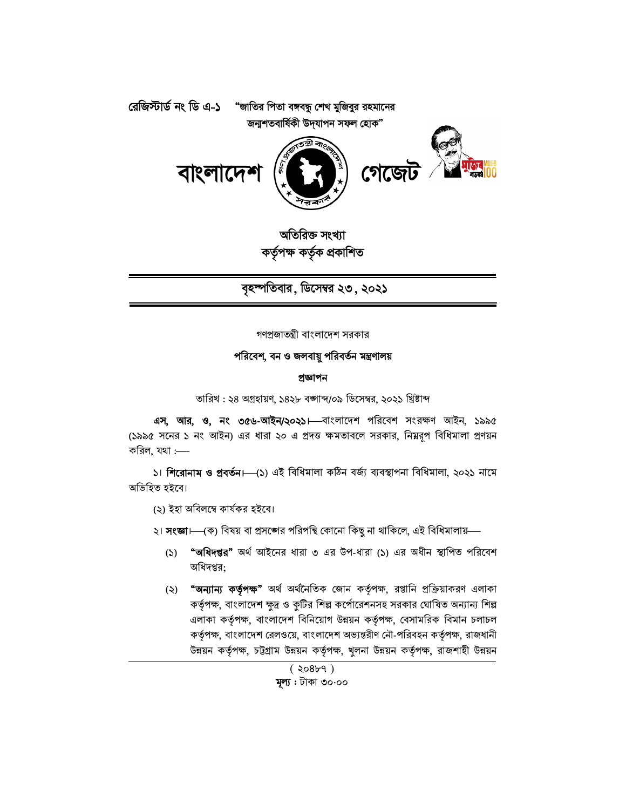

অতিরিক্ত সংখ্যা কৰ্তৃপক্ষ কৰ্তৃক প্ৰকাশিত

বৃহস্পতিবার, ডিসেম্বর ২৩, ২০২১

গণপ্রজাতন্ত্রী বাংলাদেশ সরকার

#### পরিবেশ, বন ও জলবায়ু পরিবর্তন মন্ত্রণালয়

#### প্ৰজ্ঞাপন

তারিখ : ২৪ অগ্রহায়ণ, ১৪২৮ বঙ্গাব্দ/০৯ ডিসেম্বর, ২০২১ খ্রিষ্টাব্দ

এস, আর, ও, নং ৩৫৬-আইন/২০২১। বাংলাদেশ পরিবেশ সংরক্ষণ আইন, ১৯৯৫ (১৯৯৫ সনের ১ নং আইন) এর ধারা ২০ এ প্রদত্ত ক্ষমতাবলে সরকার, নিমরূপ বিধিমালা প্রণয়ন করিল, যথা $:=$ 

১। শিরোনাম ও প্রবর্তন। (১) এই বিধিমালা কঠিন বর্জ্য ব্যবস্থাপনা বিধিমালা, ২০২১ নামে অভিহিত হইবে।

(২) ইহা অবিলম্বে কাৰ্যকর হইবে।

২। **সংজ্ঞা**।—(ক) বিষয় বা প্রসঙ্গের পরিপন্থি কোনো কিছু না থাকিলে, এই বিধিমালায়—

- (১) "অধিদপ্তর" অর্থ আইনের ধারা ৩ এর উপ-ধারা (১) এর অধীন স্থাপিত পরিবেশ অধিদপ্তর:
- (২) **"অন্যান্য কর্তৃপক্ষ"** অর্থ অর্থনৈতিক জোন কর্তৃপক্ষ, রপ্তানি প্রক্রিয়াকরণ এলাকা কর্তৃপক্ষ, বাংলাদেশ ক্ষুদ্র ও কুটির শিল্প কর্পোরেশনসহ সরকার ঘোষিত অন্যান্য শিল্প এলাকা কর্তৃপক্ষ, বাংলাদেশ বিনিয়োগ উন্নয়ন কর্তৃপক্ষ, বেসামরিক বিমান চলাচল কর্তৃপক্ষ, বাংলাদেশ রেলওয়ে, বাংলাদেশ অভ্যন্তরীণ নৌ-পরিবহন কর্তৃপক্ষ, রাজধানী উন্নয়ন কর্তৃপক্ষ, চট্টগ্রাম উন্নয়ন কর্তৃপক্ষ, খুলনা উন্নয়ন কর্তৃপক্ষ, রাজশাহী উন্নয়ন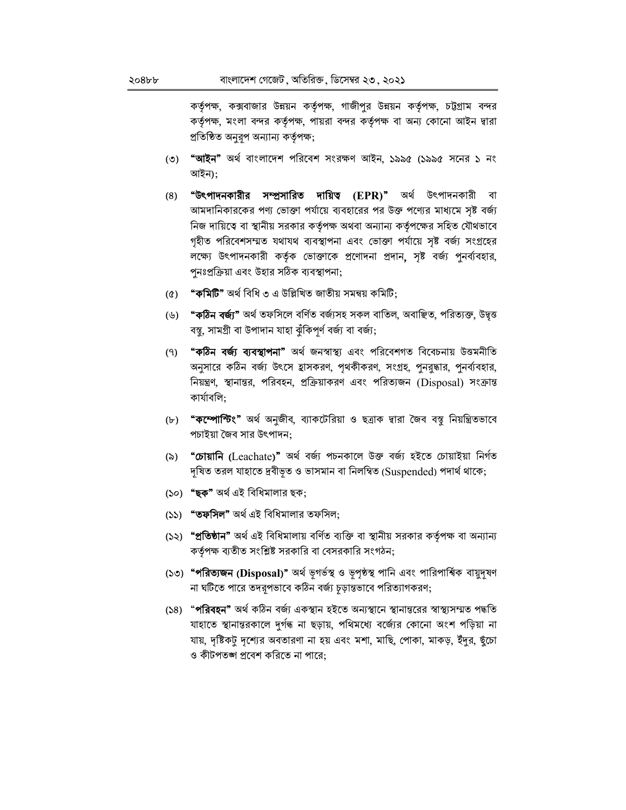কর্তৃপক্ষ, কক্সবাজার উন্নয়ন কর্তৃপক্ষ, গাজীপুর উন্নয়ন কর্তৃপক্ষ, চট্টগ্রাম বন্দর কর্তৃপক্ষ, মংলা বন্দর কর্তৃপক্ষ, পায়রা বন্দর কর্তৃপক্ষ বা অন্য কোনো আইন দ্বারা প্ৰতিষ্ঠিত অনুরূপ অন্যান্য কর্তৃপক্ষ;

- (৩) **"আইন"** অর্থ বাংলাদেশ পরিবেশ সংরক্ষণ আইন, ১৯৯৫ (১৯৯৫ সনের ১ নং আইন);
- **"উৎপাদনকারীর সম্প্রসারিত দায়িত (EPR)"** অর্থ উৎপাদনকারী বা  $(8)$ আমদানিকারকের পণ্য ভোক্তা পর্যায়ে ব্যবহারের পর উক্ত পণ্যের মাধ্যমে সৃষ্ট বর্জ্য নিজ দায়িত্বে বা স্থানীয় সরকার কর্তৃপক্ষ অথবা অন্যান্য কর্তৃপক্ষের সহিত যৌথভাবে গৃহীত পরিবেশসম্মত যথাযথ ব্যবস্থাপনা এবং ভোক্তা পর্যায়ে সৃষ্ট বর্জ্য সংগ্রহের লক্ষ্যে উৎপাদনকারী কর্তৃক ভোক্তাকে প্রণোদনা প্রদান, সৃষ্ট বর্জ্য পুনর্ব্যবহার, পুনঃপ্রক্রিয়া এবং উহার সঠিক ব্যবস্থাপনা;
- **"কমিটি"** অৰ্থ বিধি ৩ এ উল্লিখিত জাতীয় সমন্বয় কমিটি:  $(\mathcal{O})$
- (৬) **"কঠিন বৰ্জ্য"** অৰ্থ তফসিলে বৰ্ণিত বৰ্জ্যসহ সকল বাতিল, অবাঞ্ছিত, পরিত্যক্ত, উদ্বত্ত বন্ধু, সামগ্ৰী বা উপাদান যাহা ঝুঁকিপুৰ্ণ বৰ্জ্য বা বৰ্জ্য;
- (৭) **"কঠিন বৰ্জ্য ব্যবস্থাপনা"** অৰ্থ জনস্বাস্থ্য এবং পরিবেশগত বিবেচনায় উত্তমনীতি অনুসারে কঠিন বর্জ্য উৎসে হ্রাসকরণ, পৃথকীকরণ, সংগ্রহ, পুনরুদ্ধার, পুনর্ব্যবহার, নিয়ন্ত্রণ, স্থানান্তর, পরিবহন, প্রক্রিয়াকরণ এবং পরিত্যজন (Disposal) সংক্রান্ত কাৰ্যাবলি:
- (৮) **"কম্পোল্টিং"** অর্থ অনুজীব, ব্যাকটেরিয়া ও ছত্রাক দ্বারা জৈব বস্তু নিয়ন্ত্রিতভাবে পচাইয়া জৈব সার উৎপাদন:
- (৯) **"চোয়ানি** (Leachate)" অৰ্থ বৰ্জ্য পচনকালে উক্ত বৰ্জ্য হইতে চোয়াইয়া নিৰ্গত দৃষিত তরল যাহাতে দ্রবীভূত ও ভাসমান বা নিলম্বিত (Suspended) পদার্থ থাকে;
- (১০) **"ছক"** অৰ্থ এই বিধিমালার ছক;
- (১১) **"তফসিল"** অর্থ এই বিধিমালার তফসিল;
- (১২) **"প্রতিষ্ঠান"** অর্থ এই বিধিমালায় বর্ণিত ব্যক্তি বা স্থানীয় সরকার কর্তৃপক্ষ বা অন্যান্য কর্তৃপক্ষ ব্যতীত সংশ্লিষ্ট সরকারি বা বেসরকারি সংগঠন;
- (১৩) **"পরিত্যজন (Disposal)"** অর্থ ভূগর্ভস্থ ও ভূপৃষ্ঠস্থ পানি এবং পারিপার্শ্বিক বায়ুদূষণ না ঘটিতে পারে তদরূপভাবে কঠিন বর্জ্য চূড়ান্তভাবে পরিত্যাগকরণ;
- (১৪) "**পরিবহন"** অর্থ কঠিন বর্জ্য একস্থান হইতে অন্যস্থানে স্থানান্তরের স্বাস্থ্যসম্মত পদ্ধতি যাহাতে স্থানান্তরকালে দুর্গন্ধ না ছড়ায়, পথিমধ্যে বর্জ্যের কোনো অংশ পড়িয়া না যায়, দৃষ্টিকটু দৃশ্যের অবতারণা না হয় এবং মশা, মাছি, পোকা, মাকড়, ইঁদুর, ছুঁচো ও কীটপতঙ্গ প্রবেশ করিতে না পারে: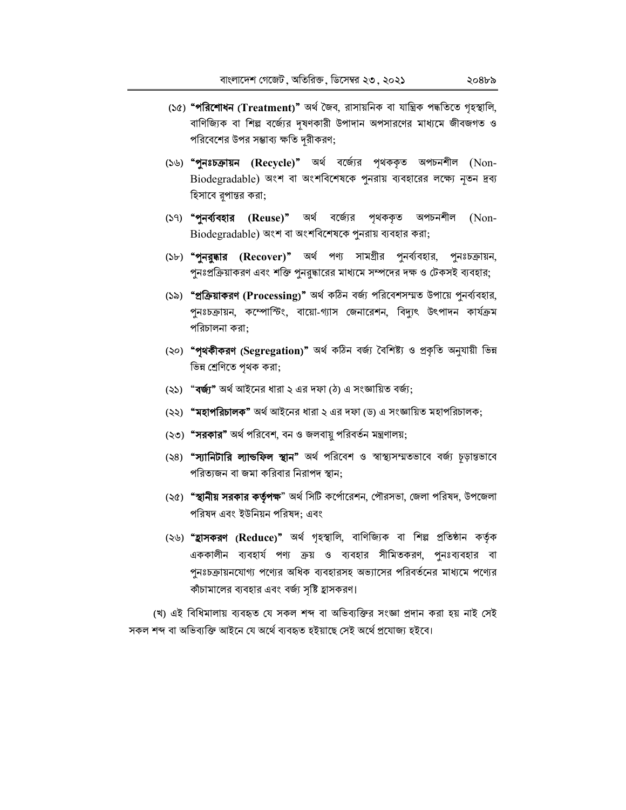- (১৫) **"পরিশোধন (Treatment)"** অর্থ জৈব, রাসায়নিক বা যান্ত্রিক পদ্ধতিতে গৃহস্থালি, বাণিজ্যিক বা শিল্প বর্জ্যের দূষণকারী উপাদান অপসারণের মাধ্যমে জীবজগত ও পরিবেশের উপর সম্ভাব্য ক্ষতি দুরীকরণ;
- (১৬) **"পুনঃচক্ৰায়ন (Recycle)"** অৰ্থ বৰ্জ্যের পৃথককৃত অপচনশীল (Non-Biodegradable) অংশ বা অংশবিশেষকে পুনরায় ব্যবহারের লক্ষ্যে নৃতন দ্রব্য হিসাবে রূপান্তর করা;
- (১৭) "পুনর্ব্যবহার (Reuse)" অর্থ বর্জ্যের পৃথককৃত অপচনশীল (Non-Biodegradable) অংশ বা অংশবিশেষকে পুনরায় ব্যবহার করা;
- (১৮) "পুনরুদ্ধার (Recover)" অর্থ পণ্য সামগ্রীর পুনর্ব্যবহার, পুনঃচক্রায়ন, পুনঃপ্রক্রিয়াকরণ এবং শক্তি পুনরুদ্ধারের মাধ্যমে সম্পদের দক্ষ ও টেকসই ব্যবহার;
- (১৯) **"প্রক্রিয়াকরণ (Processing)"** অর্থ কঠিন বর্জ্য পরিবেশসম্মত উপায়ে পুনর্ব্যবহার, পুনঃচক্রায়ন, কম্পোস্টিং, বায়ো-গ্যাস জেনারেশন, বিদ্যুৎ উৎপাদন কার্যক্রম পরিচালনা করা:
- (২০) "পৃথকীকরণ (Segregation)" অর্থ কঠিন বর্জ্য বৈশিষ্ট্য ও প্রকৃতি অনুযায়ী ভিন্ন ভিন্ন শ্রেণিতে পৃথক করা;
- (২১) **"বর্জ্য"** অর্থ আইনের ধারা ২ এর দফা (ঠ) এ সংজ্ঞায়িত বর্জ্য;
- (২২) **"মহাপরিচালক"** অর্থ আইনের ধারা ২ এর দফা (ড) এ সংজ্ঞায়িত মহাপরিচালক;
- (২৩) **"সরকার"** অর্থ পরিবেশ, বন ও জলবায়ু পরিবর্তন মন্ত্রণালয়;
- (২৪) **"স্যানিটারি ল্যান্ডফিল স্থান"** অর্থ পরিবেশ ও স্বাস্থ্যসম্মতভাবে বর্জ্য চূড়ান্তভাবে পরিত্যজন বা জমা করিবার নিরাপদ স্থান:
- (২৫) **"স্থানীয় সরকার কর্তৃপক্ষ**" অর্থ সিটি কর্পোরেশন, পৌরসভা, জেলা পরিষদ, উপজেলা পরিষদ এবং ইউনিয়ন পরিষদ: এবং
- (২৬) "হ্রাসকরণ (Reduce)" অর্থ গৃহস্থালি, বাণিজ্যিক বা শিল্প প্রতিষ্ঠান কর্তৃক এককালীন ব্যবহার্য পণ্য ক্রয় ও ব্যবহার সীমিতকরণ, পুনঃব্যবহার বা পুনঃচক্রায়নযোগ্য পণ্যের অধিক ব্যবহারসহ অভ্যাসের পরিবর্তনের মাধ্যমে পণ্যের কাঁচামালের ব্যবহার এবং বর্জ্য সৃষ্টি হ্রাসকরণ।

(খ) এই বিধিমালায় ব্যবহৃত যে সকল শব্দ বা অভিব্যক্তির সংজ্ঞা প্রদান করা হয় নাই সেই সকল শব্দ বা অভিব্যক্তি আইনে যে অৰ্থে ব্যবহৃত হইয়াছে সেই অৰ্থে প্ৰযোজ্য হইবে।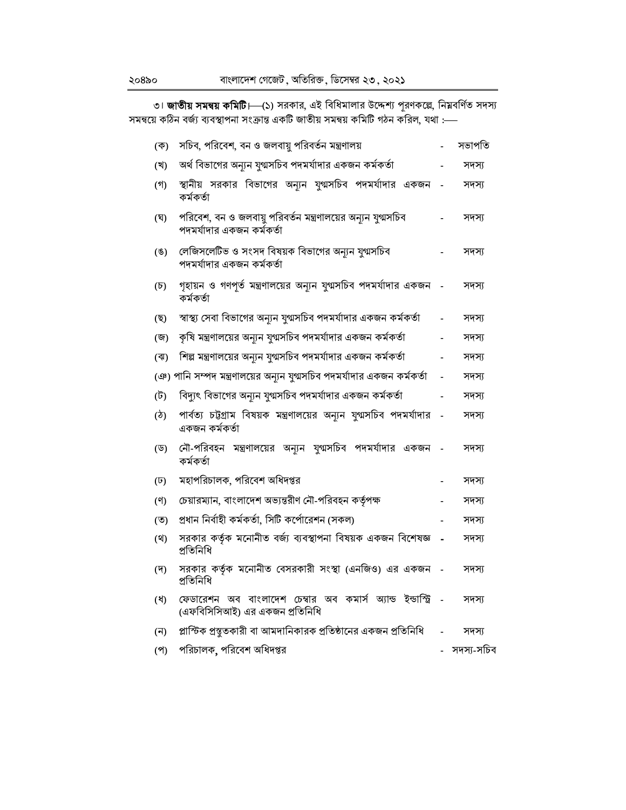৩। **জাতীয় সমন্বয় কমিটি।—(১**) সরকার, এই বিধিমালার উদ্দেশ্য পূরণকল্লে, নিম্নবর্ণিত সদস্য<br>সমন্বয়ে কঠিন বর্জ্য ব্যবস্থাপনা সংক্রান্ত একটি জাতীয় সমন্বয় কমিটি গঠন করিল, যথা :—–

| (ক)                       | সচিব, পরিবেশ, বন ও জলবায়ু পরিবর্তন মন্ত্রণালয়                                              | সভাপতি     |
|---------------------------|----------------------------------------------------------------------------------------------|------------|
| (খ)                       | অর্থ বিভাগের অন্যূন যুগ্মসচিব পদমর্যাদার একজন কর্মকর্তা                                      | সদস্য      |
| $($ গ)                    | স্থানীয় সরকার বিভাগের অন্যন যুগ্মসচিব পদমর্যাদার একজন<br>কৰ্মকৰ্তা                          | সদস্য      |
| (ঘ)                       | পরিবেশ, বন ও জলবায়ু পরিবর্তন মন্ত্রণালয়ের অন্যন যুগ্মসচিব<br>পদমর্যাদার একজন কর্মকর্তা     | সদস্য      |
| $($ E)                    | লেজিসলেটিভ ও সংসদ বিষয়ক বিভাগের অন্যন যুগ্মসচিব<br>পদমর্যাদার একজন কর্মকর্তা                | সদস্য      |
| $(\mathcal{D})$           | গৃহায়ন ও গণপূর্ত মন্ত্রণালয়ের অন্যন যুগ্মসচিব পদমর্যাদার একজন<br>কৰ্মকৰ্তা                 | সদস্য      |
| (ছ)                       | স্বাস্থ্য সেবা বিভাগের অন্যূন যুগ্মসচিব পদমর্যাদার একজন কর্মকর্তা                            | সদস্য      |
| (জ)                       | কৃষি মন্ত্রণালয়ের অন্যন যুগ্মসচিব পদমর্যাদার একজন কর্মকর্তা                                 | সদস্য      |
| $(\overline{A})$          | শিল্প মন্ত্রণালয়ের অন্যূন যুগ্মসচিব পদমর্যাদার একজন কর্মকর্তা                               | সদস্য      |
|                           | (ঞ) পানি সম্পদ মন্ত্রণালয়ের অন্যূন যুগ্মসচিব পদমর্যাদার একজন কর্মকর্তা                      | সদস্য      |
| (ট)                       | বিদ্যুৎ বিভাগের অন্যূন যুগ্মসচিব পদমর্যাদার একজন কর্মকর্তা                                   | সদস্য      |
| $(\mathcal{D})$           | পার্বত্য চট্টগ্রাম বিষয়ক মন্ত্রণালয়ের অন্যন যুগ্মসচিব পদমর্যাদার<br>একজন কর্মকর্তা         | সদস্য      |
| (ড)                       | নৌ-পরিবহন মন্ত্রণালয়ের অন্যূন যুগ্মসচিব পদমর্যাদার একজন<br>কৰ্মকৰ্তা                        | সদস্য      |
| $(\overline{\mathsf{b}})$ | মহাপরিচালক, পরিবেশ অধিদপ্তর                                                                  | সদস্য      |
| (9)                       | চেয়ারম্যান, বাংলাদেশ অভ্যন্তরীণ নৌ-পরিবহন কর্তৃপক্ষ                                         | সদস্য      |
| $(\overline{v})$          | প্রধান নির্বাহী কর্মকর্তা, সিটি কর্পোরেশন (সকল)                                              | সদস্য      |
| (2)                       | সরকার কর্তৃক মনোনীত বর্জ্য ব্যবস্থাপনা বিষয়ক একজন বিশেষজ্ঞ<br>প্ৰতিনিধি                     | সদস্য      |
| $(\overline{v})$          | সরকার কর্তৃক মনোনীত বেসরকারী সংস্থা (এনজিও) এর একজন<br>প্ৰতিনিধি                             | সদস্য      |
| (8)                       | ফেডারেশন অব বাংলাদেশ চেম্বার অব কমার্স অ্যান্ড ইন্ডাস্ট্রি<br>(এফবিসিসিআই) এর একজন প্রতিনিধি | সদস্য      |
| (ন)                       | প্লাস্টিক প্রস্তুতকারী বা আমদানিকারক প্রতিষ্ঠানের একজন প্রতিনিধি                             | সদস্য      |
| $($ প $)$                 | পরিচালক, পরিবেশ অধিদপ্তর                                                                     | সদস্য-সচিব |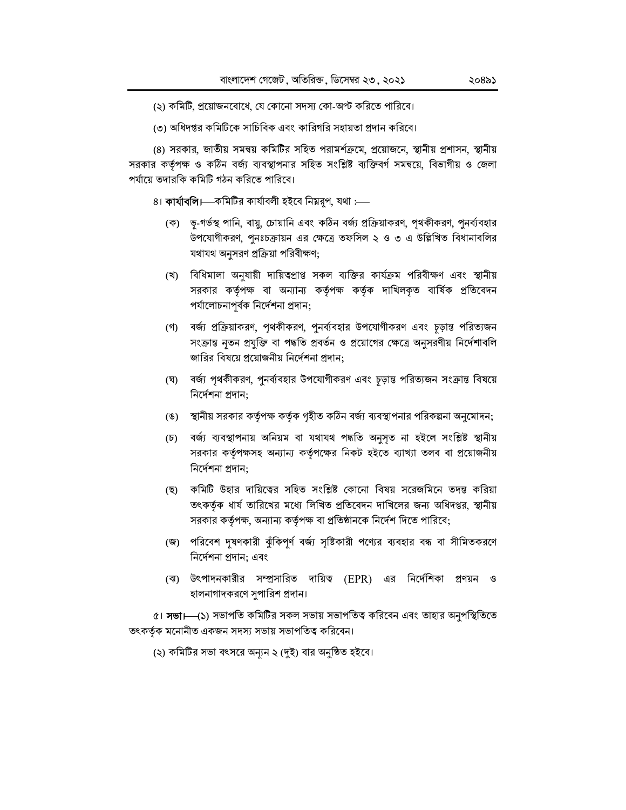(২) কমিটি, প্রয়োজনবোধে, যে কোনো সদস্য কো-অপ্ট করিতে পারিবে।

(৩) অধিদপ্তর কমিটিকে সাচিবিক এবং কারিগরি সহায়তা প্রদান করিবে।

(৪) সরকার, জাতীয় সমন্বয় কমিটির সহিত পরামর্শক্রমে, প্রয়োজনে, স্থানীয় প্রশাসন, স্থানীয় সরকার কর্তৃপক্ষ ও কঠিন বর্জ্য ব্যবস্থাপনার সহিত সংশ্লিষ্ট ব্যক্তিবর্গ সমন্বয়ে, বিভাগীয় ও জেলা পর্যায়ে তদারকি কমিটি গঠন করিতে পারিবে।

৪। **কাৰ্যাবলি।**—কমিটির কাৰ্যাবলী হইবে নিম্নরূপ, যথা :—

- (ক) ভূ-গর্ভস্থ পানি, বায়ু, চোয়ানি এবং কঠিন বর্জ্য প্রক্রিয়াকরণ, পৃথকীকরণ, পুনর্ব্যবহার উপযোগীকরণ, পুনঃচক্রায়ন এর ক্ষেত্রে তফসিল ২ ও ৩ এ উল্লিখিত বিধানাবলির যথাযথ অনুসরণ প্রক্রিয়া পরিবীক্ষণ;
- (খ) বিধিমালা অনুযায়ী দায়িত্বপ্রাপ্ত সকল ব্যক্তির কার্যক্রম পরিবীক্ষণ এবং স্থানীয় সরকার কর্তৃপক্ষ বা অন্যান্য কর্তৃপক্ষ কর্তৃক দাখিলকৃত বার্ষিক প্রতিবেদন পর্যালোচনাপূর্বক নির্দেশনা প্রদান;
- (গ) বর্জ্য প্রক্রিয়াকরণ, পৃথকীকরণ, পুনর্ব্যবহার উপযোগীকরণ এবং চূড়ান্ত পরিত্যজন সংক্রান্ত নৃতন প্রযুক্তি বা পদ্ধতি প্রবর্তন ও প্রয়োগের ক্ষেত্রে অনুসরণীয় নির্দেশাবলি জারির বিষয়ে প্রয়োজনীয় নির্দেশনা প্রদান;
- (ঘ) বর্জ্য পৃথকীকরণ, পুনর্ব্যবহার উপযোগীকরণ এবং চূড়ান্ত পরিত্যজন সংক্রান্ত বিষয়ে নিৰ্দেশনা প্ৰদান:
- (ঙ) স্থানীয় সরকার কর্তৃপক্ষ কর্তৃক গৃহীত কঠিন বর্জ্য ব্যবস্থাপনার পরিকল্পনা অনুমোদন;
- (চ) বর্জ্য ব্যবস্থাপনায় অনিয়ম বা যথাযথ পদ্ধতি অনুসৃত না হইলে সংশ্লিষ্ট স্থানীয় সরকার কর্তৃপক্ষসহ অন্যান্য কর্তৃপক্ষের নিকট হইতে ব্যাখ্যা তলব বা প্রয়োজনীয় নিৰ্দেশনা প্ৰদান:
- (ছ) কমিটি উহার দায়িত্বের সহিত সংশ্লিষ্ট কোনো বিষয় সরেজমিনে তদন্ত করিয়া তৎকর্তৃক ধার্য তারিখের মধ্যে লিখিত প্রতিবেদন দাখিলের জন্য অধিদপ্তর, স্থানীয় সরকার কর্তৃপক্ষ, অন্যান্য কর্তৃপক্ষ বা প্রতিষ্ঠানকে নির্দেশ দিতে পারিবে;
- (জ) পরিবেশ দূষণকারী ঝুঁকিপূর্ণ বর্জ্য সৃষ্টিকারী পণ্যের ব্যবহার বন্ধ বা সীমিতকরণে নিৰ্দেশনা প্ৰদান; এবং
- (ঝ) উৎপাদনকারীর সম্প্রসারিত দায়িত্ব (EPR) এর নির্দেশিকা প্রণয়ন ও হালনাগাদকরণে সুপারিশ প্রদান।

৫। **সভা।—(১**) সভাপতি কমিটির সকল সভায় সভাপতিত্ব করিবেন এবং তাহার অনুপস্থিতিতে তৎকর্তৃক মনোনীত একজন সদস্য সভায় সভাপতিত্ব করিবেন।

(২) কমিটির সভা বৎসরে অন্যুন ২ (দুই) বার অনুষ্ঠিত হইবে।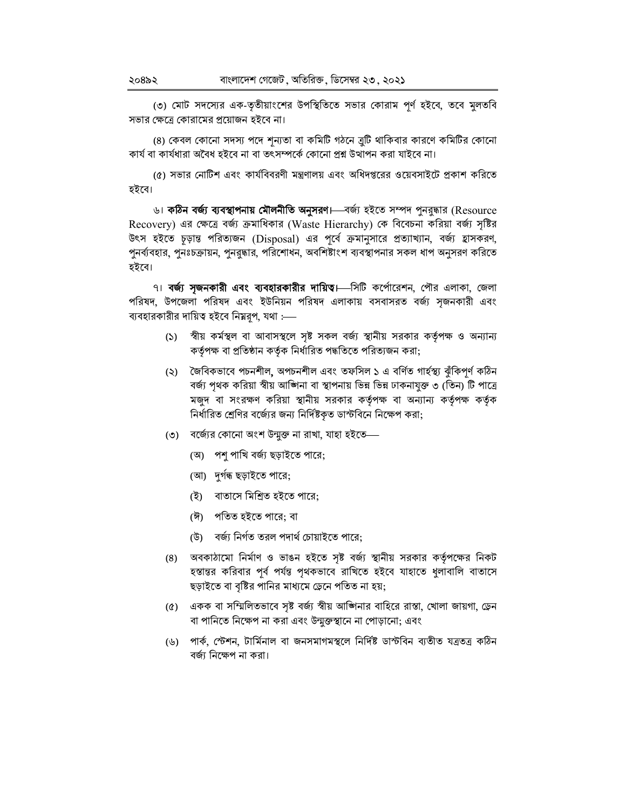(৩) মোট সদস্যের এক-তৃতীয়াংশের উপস্থিতিতে সভার কোরাম পূর্ণ হইবে, তবে মুলতবি সভার ক্ষেত্রে কোরামের প্রয়োজন হইবে না।

(৪) কেবল কোনো সদস্য পদে শূন্যতা বা কমিটি গঠনে ব্রুটি থাকিবার কারণে কমিটির কোনো কাৰ্য বা কাৰ্যধারা অবৈধ হইবে না বা তৎসম্পৰ্কে কোনো প্ৰশ্ন উত্থাপন করা যাইবে না।

(৫) সভার নোটিশ এবং কার্যবিবরণী মন্ত্রণালয় এবং অধিদপ্তরের ওয়েবসাইটে প্রকাশ করিতে হইবে।

৬। **কঠিন বর্জ্য ব্যবস্থাপনায় মৌলনীতি অনুসরণ।** বর্জ্য হইতে সম্পদ পুনরুদ্ধার (Resource Recovery) এর ক্ষেত্রে বর্জ্য ক্রমাধিকার (Waste Hierarchy) কে বিবেচনা করিয়া বর্জ্য সৃষ্টির উৎস হইতে চূড়ান্ত পরিত্যজন (Disposal) এর পূর্বে ক্রমানুসারে প্রত্যাখ্যান, বর্জ্য হ্রাসকরণ, পুনর্ব্যবহার, পুনঃচক্রায়ন, পুনরুদ্ধার, পরিশোধন, অবশিষ্টাংশ ব্যবস্থাপনার সকল ধাপ অনুসরণ করিতে হইবে।

৭। বর্জ্য সৃজনকারী এবং ব্যবহারকারীর দায়িত। সিটি কর্পোরেশন, পৌর এলাকা, জেলা পরিষদ, উপজেলা পরিষদ এবং ইউনিয়ন পরিষদ এলাকায় বসবাসরত বর্জ্য সৃজনকারী এবং ব্যবহারকারীর দায়িত্ব হইবে নিম্নরূপ, যথা :—–

- (১) শ্বীয় কর্মস্থল বা আবাসস্থলে সৃষ্ট সকল বর্জ্য স্থানীয় সরকার কর্তৃপক্ষ ও অন্যান্য কর্তৃপক্ষ বা প্রতিষ্ঠান কর্তৃক নির্ধারিত পদ্ধতিতে পরিত্যজন করা;
- (২) জৈবিকভাবে পচনশীল, অপচনশীল এবং তফসিল ১ এ বৰ্ণিত গাৰ্হস্থ্য ঝুঁকিপূৰ্ণ কঠিন বর্জ্য পৃথক করিয়া স্বীয় আজিনা বা স্থাপনায় ভিন্ন ভিন্ন ঢাকনাযুক্ত ৩ (তিন) টি পাত্রে মজুদ বা সংরক্ষণ করিয়া স্থানীয় সরকার কর্তৃপক্ষ বা অন্যান্য কর্তৃপক্ষ কর্তৃক নির্ধারিত শ্রেণির বর্জ্যের জন্য নির্দিষ্টকৃত ডাস্টবিনে নিক্ষেপ করা;
- (৩) বর্জ্যের কোনো অংশ উন্মুক্ত না রাখা, যাহা হইতে—
	- (অ) পশু পাখি বর্জ্য ছড়াইতে পারে;
	- (আ) দুৰ্গৰূ ছড়াইতে পারে;
	- (ই) বাতাসে মিশ্রিত হইতে পারে:
	- (ঈ) পতিত হইতে পারে; বা
	- (উ) বর্জ্য নির্গত তরল পদার্থ চোয়াইতে পারে;
- (8) অবকাঠামো নির্মাণ ও ভাঙন হইতে সৃষ্ট বর্জ্য স্থানীয় সরকার কর্তৃপক্ষের নিকট হস্তান্তর করিবার পূর্ব পর্যন্ত পৃথকভাবে রাখিতে হইবে যাহাতে ধুলাবালি বাতাসে ছড়াইতে বা বৃষ্টির পানির মাধ্যমে ড্রেনে পতিত না হয়;
- (৫) একক বা সম্মিলিতভাবে সৃষ্ট বর্জ্য স্বীয় আজিনার বাহিরে রাস্তা, খোলা জায়গা, ড্রেন বা পানিতে নিক্ষেপ না করা এবং উন্মুক্তস্থানে না পোড়ানো; এবং
- পার্ক, স্টেশন, টার্মিনাল বা জনসমাগমস্থলে নির্দিষ্ট ডাস্টবিন ব্যতীত যত্রতত্র কঠিন (৬) বর্জ্য নিক্ষেপ না করা।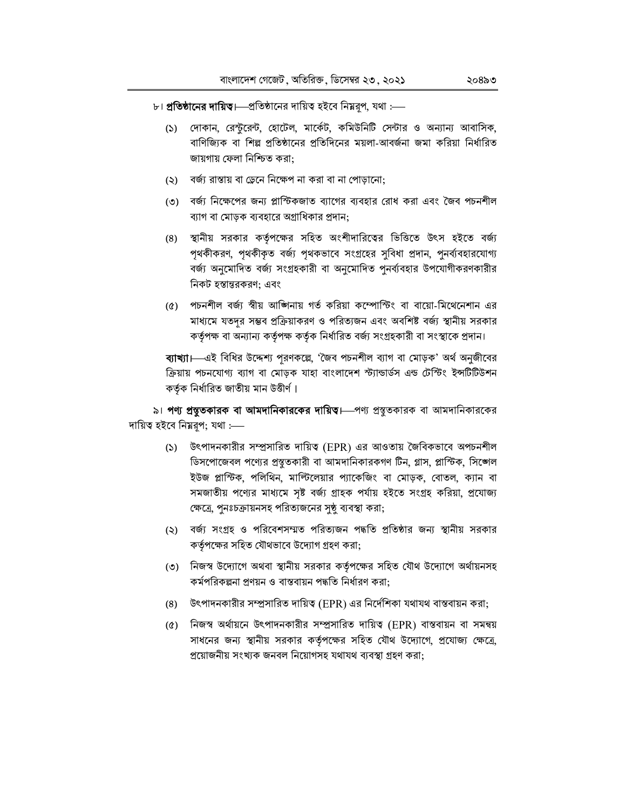- ৮। **প্রতিষ্ঠানের দায়িত।** প্রতিষ্ঠানের দায়িত্ব হইবে নিম্নরূপ, যথা :
	- দোকান, রেন্টুরেন্ট, হোটেল, মার্কেট, কমিউনিটি সেন্টার ও অন্যান্য আবাসিক,  $(5)$ বাণিজ্যিক বা শিল্প প্রতিষ্ঠানের প্রতিদিনের ময়লা-আবর্জনা জমা করিয়া নির্ধারিত জায়গায় ফেলা নিশ্চিত করা:
	- (২) বর্জ্য রাস্তায় বা ডেনে নিক্ষেপ না করা বা না পোড়ানো:
	- ৩) বর্জা নিক্ষেপের জন্য প্লাস্টিকজাত ব্যাগের ব্যবহার রোধ করা এবং জৈব পচনশীল ব্যাগ বা মোড়ক ব্যবহারে অগ্রাধিকার প্রদান:
	- (৪) স্থানীয় সরকার কর্তৃপক্ষের সহিত অংশীদারিত্বের ভিত্তিতে উৎস হইতে বর্জ্য পৃথকীকরণ, পৃথকীকৃত বর্জ্য পৃথকভাবে সংগ্রহের সুবিধা প্রদান, পুনর্ব্যবহারযোগ্য বর্জ্য অনুমোদিত বর্জ্য সংগ্রহকারী বা অনুমোদিত পুনর্ব্যবহার উপযোগীকরণকারীর নিকট হস্তান্তরকরণ: এবং
	- (৫) পচনশীল বর্জ্য স্বীয় আজিনায় গর্ত করিয়া কম্পোস্টিং বা বায়ো-মিথেনেশান এর মাধ্যমে যতদর সম্ভব প্রক্রিয়াকরণ ও পরিত্যজন এবং অবশিষ্ট বর্জ্য স্থানীয় সরকার কর্তৃপক্ষ বা অন্যান্য কর্তৃপক্ষ কর্তৃক নির্ধারিত বর্জ্য সংগ্রহকারী বা সংস্থাকে প্রদান।

**ব্যাখ্যা।**—এই বিধির উদ্দেশ্য পূরণকল্লে, 'জৈব পচনশীল ব্যাগ বা মোড়ক' অর্থ অনুজীবের ক্রিয়ায় পচনযোগ্য ব্যাগ বা মোড়ক যাহা বাংলাদেশ স্ট্যান্ডার্ডস এন্ড টেস্টিং ইন্সটিটিউশন কর্তৃক নির্ধারিত জাতীয় মান উত্তীর্ণ।

৯। পণ্য প্রম্ভুতকারক বা আমদানিকারকের দায়িত। পণ্য প্রস্তুতকারক বা আমদানিকারকের দায়িত্ব হইবে নিয়রূপ; যথা :----

- (১) উৎপাদনকারীর সম্প্রসারিত দায়িত্ব (EPR) এর আওতায় জৈবিকভাবে অপচনশীল ডিসপোজেবল পণ্যের প্রস্তুতকারী বা আমদানিকারকগণ টিন, গ্লাস, প্লাস্টিক, সিঙ্গেল ইউজ প্লাস্টিক, পলিথিন, মাল্টিলেয়ার প্যাকেজিং বা মোড়ক, বোতল, ক্যান বা সমজাতীয় পণ্যের মাধ্যমে সৃষ্ট বর্জ্য গ্রাহক পর্যায় হইতে সংগ্রহ করিয়া, প্রযোজ্য ক্ষেত্রে, পুনঃচক্রায়নসহ পরিত্যজনের সুষ্ঠু ব্যবস্থা করা;
- (২) বর্জ্য সংগ্রহ ও পরিবেশসম্মত পরিত্যজন পদ্ধতি প্রতিষ্ঠার জন্য স্থানীয় সরকার কর্তৃপক্ষের সহিত যৌথভাবে উদ্যোগ গ্রহণ করা;
- ৩) নিজস্ব উদ্যোগে অথবা স্থানীয় সরকার কর্তৃপক্ষের সহিত যৌথ উদ্যোগে অর্থায়নসহ কর্মপরিকল্পনা প্রণয়ন ও বাস্তবায়ন পদ্ধতি নির্ধারণ করা:
- (8) উৎপাদনকারীর সম্প্রসারিত দায়িত্ব (EPR) এর নির্দেশিকা যথাযথ বাস্তবায়ন করা;
- (৫) নিজস্ব অর্থায়নে উৎপাদনকারীর সম্প্রসারিত দায়িত্ব (EPR) বাস্তবায়ন বা সমন্বয় সাধনের জন্য স্থানীয় সরকার কর্তৃপক্ষের সহিত যৌথ উদ্যোগে, প্রযোজ্য ক্ষেত্রে, প্ৰয়োজনীয় সংখ্যক জনবল নিয়োগসহ যথাযথ ব্যবস্থা গ্ৰহণ করা: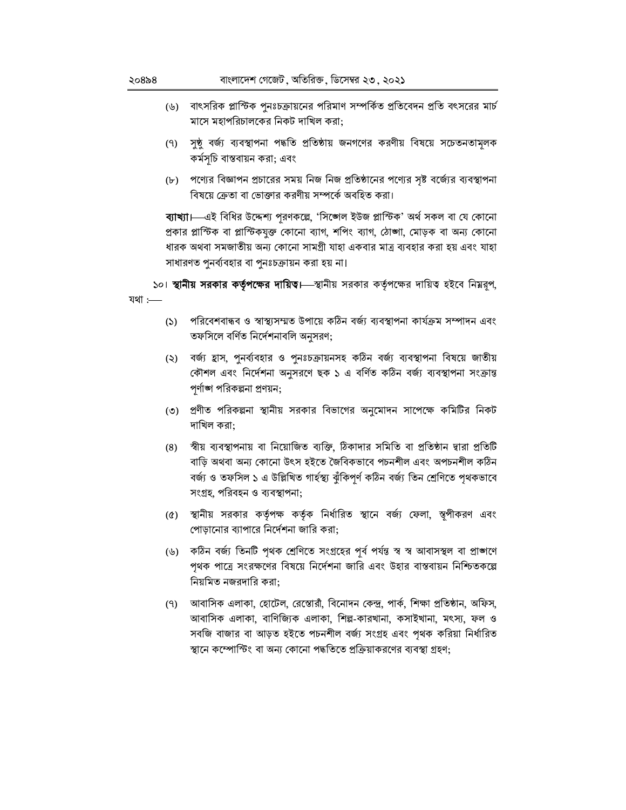- (৬) বাৎসরিক প্লাস্টিক পুনঃচক্রায়নের পরিমাণ সম্পর্কিত প্রতিবেদন প্রতি বৎসরের মার্চ মাসে মহাপরিচালকের নিকট দাখিল করা;
- (৭) সুষ্ঠু বর্জ্য ব্যবস্থাপনা পদ্ধতি প্রতিষ্ঠায় জনগণের করণীয় বিষয়ে সচেতনতামূলক কৰ্মসূচি বাস্তবায়ন করা; এবং
- (৮) পণ্যের বিজ্ঞাপন প্রচারের সময় নিজ নিজ প্রতিষ্ঠানের পণ্যের সৃষ্ট বর্জ্যের ব্যবস্থাপনা বিষয়ে ক্রেতা বা ভোক্তার করণীয় সম্পর্কে অবহিত করা।

ব্যাখ্যা। এই বিধির উদ্দেশ্য পূরণকল্লে, 'সিঙ্গেল ইউজ প্লাস্টিক' অর্থ সকল বা যে কোনো প্রকার প্লাস্টিক বা প্লাস্টিকযুক্ত কোনো ব্যাগ, শপিং ব্যাগ, ঠোঙ্গা, মোড়ক বা অন্য কোনো ধারক অথবা সমজাতীয় অন্য কোনো সামগ্রী যাহা একবার মাত্র ব্যবহার করা হয় এবং যাহা সাধারণত পুনর্ব্যবহার বা পুনঃচক্রায়ন করা হয় না।

১০। **স্থানীয় সরকার কর্তৃপক্ষের দায়িত।**—স্থানীয় সরকার কর্তৃপক্ষের দায়িত্ব হইবে নিম্নরূপ, যথা $:$ 

- পরিবেশবান্ধব ও স্বাস্থ্যসম্মত উপায়ে কঠিন বর্জ্য ব্যবস্থাপনা কার্যক্রম সম্পাদন এবং  $(5)$ তফসিলে বর্ণিত নির্দেশনাবলি অনুসরণ;
- বর্জ্য হ্রাস, পুনর্ব্যবহার ও পুনঃচক্রায়নসহ কঠিন বর্জ্য ব্যবস্থাপনা বিষয়ে জাতীয়  $(5)$ কৌশল এবং নির্দেশনা অনুসরণে ছক ১ এ বর্ণিত কঠিন বর্জ্য ব্যবস্থাপনা সংক্রান্ত পর্ণাঙ্গ পরিকল্পনা প্রণয়ন;
- (৩) প্রণীত পরিকল্পনা স্থানীয় সরকার বিভাগের অনুমোদন সাপেক্ষে কমিটির নিকট দাখিল করা:
- স্বীয় ব্যবস্থাপনায় বা নিয়োজিত ব্যক্তি, ঠিকাদার সমিতি বা প্রতিষ্ঠান দ্বারা প্রতিটি  $(8)$ বাড়ি অথবা অন্য কোনো উৎস হইতে জৈবিকভাবে পচনশীল এবং অপচনশীল কঠিন বৰ্জ্য ও তফসিল ১ এ উল্লিখিত গাৰ্হস্থ্য ঝুঁকিপূৰ্ণ কঠিন বৰ্জ্য তিন শ্ৰেণিতে পৃথকভাবে সংগ্ৰহ, পরিবহন ও ব্যবস্থাপনা;
- (৫) স্থানীয় সরকার কর্তৃপক্ষ কর্তৃক নির্ধারিত স্থানে বর্জ্য ফেলা, স্তৃপীকরণ এবং পোড়ানোর ব্যাপারে নির্দেশনা জারি করা;
- (৬) কঠিন বর্জা তিনটি পৃথক শ্রেণিতে সংগ্রহের পূর্ব পর্যন্ত স্ব স্ব আবাসস্থল বা প্রাজ্ঞাণে পৃথক পাত্রে সংরক্ষণের বিষয়ে নির্দেশনা জারি এবং উহার বাস্তবায়ন নিশ্চিতকল্পে নিয়মিত নজরদারি করা:
- (৭) আবাসিক এলাকা, হোটেল, রেস্তোরাঁ, বিনোদন কেন্দ্র, পার্ক, শিক্ষা প্রতিষ্ঠান, অফিস, আবাসিক এলাকা, বাণিজ্যিক এলাকা, শিল্প-কারখানা, কসাইখানা, মৎস্য, ফল ও সবজি বাজার বা আড়ত হইতে পচনশীল বর্জ্য সংগ্রহ এবং পৃথক করিয়া নির্ধারিত স্থানে কম্পোস্টিং বা অন্য কোনো পদ্ধতিতে প্রক্রিয়াকরণের ব্যবস্থা গ্রহণ;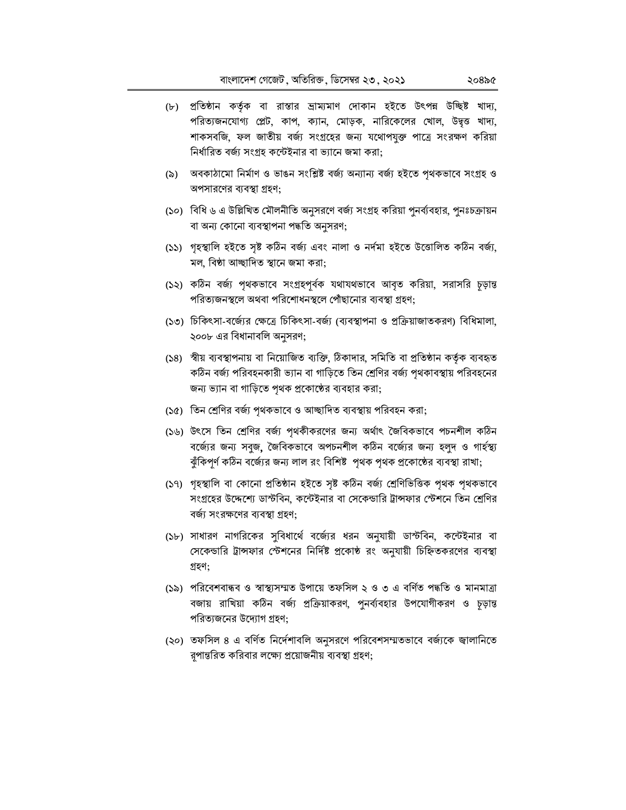- (৮) প্রতিষ্ঠান কর্তৃক বা রাস্তার ভ্রাম্যমাণ দোকান হইতে উৎপন্ন উচ্ছিষ্ট খাদ্য, পরিত্যজনযোগ্য প্লেট, কাপ, ক্যান, মোড়ক, নারিকেলের খোল, উদ্বৃত্ত খাদ্য, শাকসবজি, ফল জাতীয় বর্জ্য সংগ্রহের জন্য যথোপযুক্ত পাত্রে সংরক্ষণ করিয়া নির্ধারিত বর্জ্য সংগ্রহ কন্টেইনার বা ভ্যানে জমা করা;
- (৯) অবকাঠামো নির্মাণ ও ভাঙন সংশ্লিষ্ট বর্জ্য অন্যান্য বর্জ্য হইতে পৃথকভাবে সংগ্রহ ও অপসারণের ব্যবস্থা গ্রহণ;
- (১০) বিধি ৬ এ উল্লিখিত মৌলনীতি অনুসরণে বর্জ্য সংগ্রহ করিয়া পুনর্ব্যবহার, পুনঃচক্রায়ন বা অন্য কোনো ব্যবস্থাপনা পদ্ধতি অনুসরণ;
- (১১) গৃহস্থালি হইতে সৃষ্ট কঠিন বৰ্জ্য এবং নালা ও নৰ্দমা হইতে উত্তোলিত কঠিন বৰ্জ্য, মল, বিষ্ঠা আচ্ছাদিত স্থানে জমা করা;
- (১২) কঠিন বর্জ্য পৃথকভাবে সংগ্রহপূর্বক যথাযথভাবে আবৃত করিয়া, সরাসরি চূড়ান্ত পরিত্যজনস্থলে অথবা পরিশোধনস্থলে পোঁছানোর ব্যবস্থা গ্রহণ:
- (১৩) চিকিৎসা-বর্জ্যের ক্ষেত্রে চিকিৎসা-বর্জ্য (ব্যবস্থাপনা ও প্রক্রিয়াজাতকরণ) বিধিমালা, ২০০৮ এর বিধানাবলি অনুসরণ;
- (১৪) স্বীয় ব্যবস্থাপনায় বা নিয়োজিত ব্যক্তি, ঠিকাদার, সমিতি বা প্রতিষ্ঠান কর্তৃক ব্যবহৃত কঠিন বর্জ্য পরিবহনকারী ভ্যান বা গাড়িতে তিন শ্রেণির বর্জ্য পৃথকাবস্থায় পরিবহনের জন্য ভ্যান বা গাড়িতে পৃথক প্রকোষ্ঠের ব্যবহার করা;
- (১৫) তিন শ্রেণির বর্জ্য পৃথকভাবে ও আচ্ছাদিত ব্যবস্থায় পরিবহন করা;
- (১৬) উৎসে তিন শ্রেণির বর্জ্য পৃথকীকরণের জন্য অর্থাৎ জৈবিকভাবে পচনশীল কঠিন বর্জ্যের জন্য সবুজ, জৈবিকভাবে অপচনশীল কঠিন বর্জ্যের জন্য হলুদ ও গার্হস্থ্য ঝুঁকিপূর্ণ কঠিন বর্জ্যের জন্য লাল রং বিশিষ্ট পৃথক পৃথক প্রকোষ্ঠের ব্যবস্থা রাখা;
- (১৭) গৃহস্থালি বা কোনো প্রতিষ্ঠান হইতে সৃষ্ট কঠিন বর্জ্য শ্রেণিভিত্তিক পৃথক পৃথকভাবে সংগ্রহের উদ্দেশ্যে ডাস্টবিন, কন্টেইনার বা সেকেন্ডারি ট্রান্সফার স্টেশনে তিন শ্রেণির বর্জ্য সংরক্ষণের ব্যবস্থা গ্রহণ:
- (১৮) সাধারণ নাগরিকের সুবিধার্থে বর্জ্যের ধরন অনুযায়ী ডাস্টবিন, কন্টেইনার বা সেকেন্ডারি ট্রান্সফার স্টেশনের নির্দিষ্ট প্রকোষ্ঠ রং অনুযায়ী চিহ্নিতকরণের ব্যবস্থা গ্ৰহণ:
- (১৯) পরিবেশবান্ধব ও স্বাস্থ্যসম্মত উপায়ে তফসিল ২ ও ৩ এ বর্ণিত পদ্ধতি ও মানমাত্রা বজায় রাখিয়া কঠিন বর্জ্য প্রক্রিয়াকরণ, পুনর্ব্যবহার উপযোগীকরণ ও চূড়ান্ত পরিত্যজনের উদ্যোগ গ্রহণ;
- (২০) তফসিল ৪ এ বর্ণিত নির্দেশাবলি অনুসরণে পরিবেশসম্মতভাবে বর্জ্যকে জ্বালানিতে রূপান্তরিত করিবার লক্ষ্যে প্রয়োজনীয় ব্যবস্থা গ্রহণ;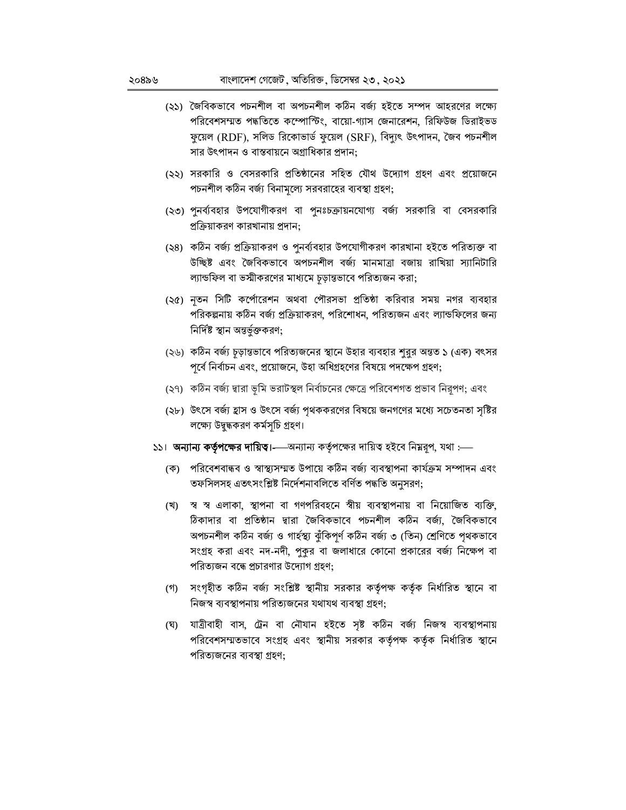- (২১) জৈবিকভাবে পচনশীল বা অপচনশীল কঠিন বর্জ্য হইতে সম্পদ আহরণের লক্ষ্যে পরিবেশসম্মত পদ্ধতিতে কম্পোস্টিং, বায়ো-গ্যাস জেনারেশন, রিফিউজ ডিরাইভড ফুয়েল (RDF), সলিড রিকোভার্ড ফুয়েল (SRF), বিদ্যুৎ উৎপাদন, জৈব পচনশীল সার উৎপাদন ও বাস্তবায়নে অগ্রাধিকার প্রদান;
- (২২) সরকারি ও বেসরকারি প্রতিষ্ঠানের সহিত যৌথ উদ্যোগ গ্রহণ এবং প্রয়োজনে পচনশীল কঠিন বর্জ্য বিনামূল্যে সরবরাহের ব্যবস্থা গ্রহণ;
- (২৩) পুনর্ব্যবহার উপযোগীকরণ বা পুনঃচক্রায়নযোগ্য বর্জ্য সরকারি বা বেসরকারি প্রক্রিয়াকরণ কারখানায় প্রদান:
- (২৪) কঠিন বর্জ্য প্রক্রিয়াকরণ ও পুনর্ব্যবহার উপযোগীকরণ কারখানা হইতে পরিত্যক্ত বা উচ্ছিষ্ট এবং জৈবিকভাবে অপচনশীল বর্জ্য মানমাত্রা বজায় রাখিয়া স্যানিটারি ল্যান্ডফিল বা ভস্মীকরণের মাধ্যমে চূড়ান্তভাবে পরিত্যজন করা;
- (২৫) নতন সিটি কর্পোরেশন অথবা পৌরসভা প্রতিষ্ঠা করিবার সময় নগর ব্যবহার পরিকল্পনায় কঠিন বর্জ্য প্রক্রিয়াকরণ, পরিশোধন, পরিত্যজন এবং ল্যান্ডফিলের জন্য নিৰ্দিষ্ট স্থান অন্তৰ্ভুক্তকরণ;
- (২৬) কঠিন বর্জ্য চূড়ান্তভাবে পরিত্যজনের স্থানে উহার ব্যবহার শুরুর অন্তত ১ (এক) বৎসর পূর্বে নির্বাচন এবং, প্রয়োজনে, উহা অধিগ্রহণের বিষয়ে পদক্ষেপ গ্রহণ;
- (২৭) কঠিন বর্জ্য দ্বারা ভূমি ভরাটস্থল নির্বাচনের ক্ষেত্রে পরিবেশগত প্রভাব নিরূপণ; এবং
- (২৮) উৎসে বর্জ্য হ্রাস ও উৎসে বর্জ্য পৃথককরণের বিষয়ে জনগণের মধ্যে সচেতনতা সৃষ্টির লক্ষ্যে উদ্বুদ্ধকরণ কর্মসূচি গ্রহণ।
- ১১। অন্যান্য কর্তৃপক্ষের দায়িত।——অন্যান্য কর্তৃপক্ষের দায়িত্ব হইবে নিম্নরূপ, যথা :—
	- (ক) পরিবেশবান্ধব ও স্বাস্থ্যসম্মত উপায়ে কঠিন বর্জ্য ব্যবস্থাপনা কার্যক্রম সম্পাদন এবং তফসিলসহ এতৎসংশ্লিষ্ট নির্দেশনাবলিতে বর্ণিত পদ্ধতি অনুসরণ;
	- (খ) স্ব স্ব এলাকা, স্থাপনা বা গণপরিবহনে স্বীয় ব্যবস্থাপনায় বা নিয়োজিত ব্যক্তি, ঠিকাদার বা প্রতিষ্ঠান দ্বারা জৈবিকভাবে পচনশীল কঠিন বর্জ্য, জৈবিকভাবে অপচনশীল কঠিন বৰ্জ্য ও গাৰ্হস্থ্য ঝুঁকিপূৰ্ণ কঠিন বৰ্জ্য ৩ (তিন) শ্ৰেণিতে পৃথকভাবে সংগ্রহ করা এবং নদ-নদী, পুকুর বা জলাধারে কোনো প্রকারের বর্জ্য নিক্ষেপ বা পরিত্যজন বন্ধে প্রচারণার উদ্যোগ গ্রহণ;
	- (গ) সংগৃহীত কঠিন বর্জ্য সংশ্লিষ্ট স্থানীয় সরকার কর্তৃপক্ষ কর্তৃক নির্ধারিত স্থানে বা নিজস্ব ব্যবস্থাপনায় পরিত্যজনের যথাযথ ব্যবস্থা গ্রহণ:
	- (ঘ) যাত্ৰীবাহী বাস, ট্ৰেন বা নৌযান হইতে সৃষ্ট কঠিন বৰ্জ্য নিজস্ব ব্যবস্থাপনায় পরিবেশসম্মতভাবে সংগ্রহ এবং স্থানীয় সরকার কর্তৃপক্ষ কর্তৃক নির্ধারিত স্থানে পরিত্যজনের ব্যবস্থা গ্রহণ: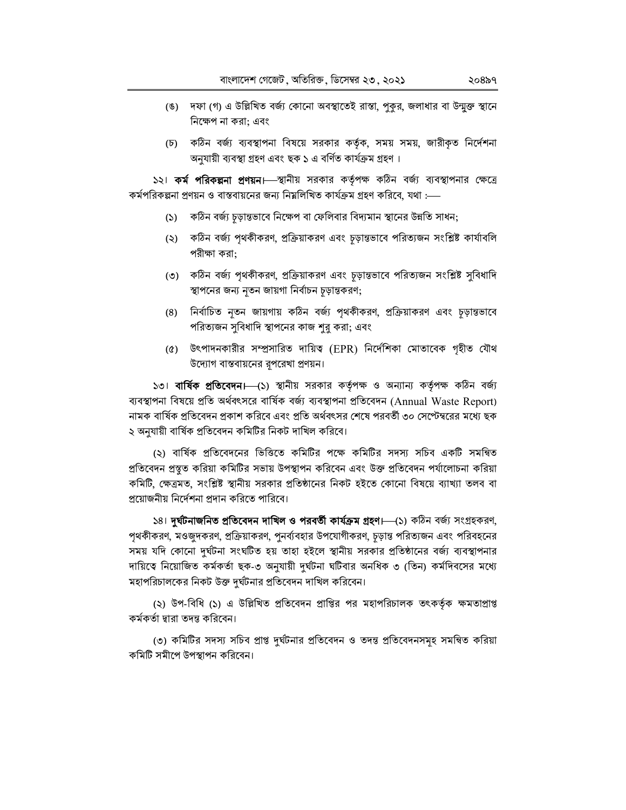- (ঙ) দফা (গ) এ উল্লিখিত বর্জ্য কোনো অবস্থাতেই রাস্তা, পুকুর, জলাধার বা উন্মুক্ত স্থানে নিক্ষেপ না করা; এবং
- (চ) কঠিন বর্জ্য ব্যবস্থাপনা বিষয়ে সরকার কর্তৃক, সময় সময়, জারীকৃত নির্দেশনা অনুযায়ী ব্যবস্থা গ্ৰহণ এবং ছক ১ এ বৰ্ণিত কাৰ্যক্ৰম গ্ৰহণ।

১২। কর্ম পরিকল্পনা প্রণয়ন। স্থানীয় সরকার কর্তৃপক্ষ কঠিন বর্জ্য ব্যবস্থাপনার ক্ষেত্রে কর্মপরিকল্পনা প্রণয়ন ও বাস্তবায়নের জন্য নিম্নলিখিত কার্যক্রম গ্রহণ করিবে, যথা :—–

- (১) কঠিন বর্জ্য চূড়ান্তভাবে নিক্ষেপ বা ফেলিবার বিদ্যমান স্থানের উন্নতি সাধন;
- (২) কঠিন বর্জ্য পৃথকীকরণ, প্রক্রিয়াকরণ এবং চূড়ান্তভাবে পরিত্যজন সংশ্লিষ্ট কার্যাবলি পরীক্ষা করা;
- (৩) কঠিন বর্জ্য পৃথকীকরণ, প্রক্রিয়াকরণ এবং চূড়ান্তভাবে পরিত্যজন সংশ্লিষ্ট সুবিধাদি স্থাপনের জন্য নৃতন জায়গা নির্বাচন চূড়ান্তকরণ;
- (৪) নির্বাচিত নৃতন জায়গায় কঠিন বর্জ্য পৃথকীকরণ, প্রক্রিয়াকরণ এবং চূড়ান্তভাবে পরিত্যজন সুবিধাদি স্থাপনের কাজ শুরু করা; এবং
- (৫) উৎপাদনকারীর সম্প্রসারিত দায়িত্ব (EPR) নির্দেশিকা মোতাবেক গৃহীত যৌথ উদ্যোগ বাস্তবায়নের রূপরেখা প্রণয়ন।

১৩। **বার্ষিক প্রতিবেদন।**—(১) স্থানীয় সরকার কর্তৃপক্ষ ও অন্যান্য কর্তৃপক্ষ কঠিন বর্জ্য ব্যবস্থাপনা বিষয়ে প্রতি অর্থবৎসরে বার্ষিক বর্জ্য ব্যবস্থাপনা প্রতিবেদন (Annual Waste Report) নামক বার্ষিক প্রতিবেদন প্রকাশ করিবে এবং প্রতি অর্থবৎসর শেষে পরবর্তী ৩০ সেপ্টেম্বরের মধ্যে ছক ২ অনুযায়ী বার্ষিক প্রতিবেদন কমিটির নিকট দাখিল করিবে।

(২) বার্ষিক প্রতিবেদনের ভিত্তিতে কমিটির পক্ষে কমিটির সদস্য সচিব একটি সমন্বিত প্রতিবেদন প্রস্থুত করিয়া কমিটির সভায় উপস্থাপন করিবেন এবং উক্ত প্রতিবেদন পর্যালোচনা করিয়া কমিটি, ক্ষেত্রমত, সংশ্লিষ্ট স্থানীয় সরকার প্রতিষ্ঠানের নিকট হইতে কোনো বিষয়ে ব্যাখ্যা তলব বা প্রয়োজনীয় নির্দেশনা প্রদান করিতে পারিবে।

১৪। **দুৰ্ঘটনাজনিত প্ৰতিবেদন দাখিল ও পরবর্তী কার্যক্রম গ্রহণ।** (১) কঠিন বর্জ্য সংগ্রহকরণ, পৃথকীকরণ, মওজুদকরণ, প্রক্রিয়াকরণ, পুনর্ব্যবহার উপযোগীকরণ, চূড়ান্ত পরিত্যজন এবং পরিবহনের সময় যদি কোনো দুর্ঘটনা সংঘটিত হয় তাহা হইলে স্থানীয় সরকার প্রতিষ্ঠানের বর্জ্য ব্যবস্থাপনার দায়িত্বে নিয়োজিত কর্মকর্তা ছক-৩ অনুযায়ী দুর্ঘটনা ঘটিবার অনধিক ৩ (তিন) কর্মদিবসের মধ্যে মহাপরিচালকের নিকট উক্ত দুর্ঘটনার প্রতিবেদন দাখিল করিবেন।

(২) উপ-বিধি (১) এ উল্লিখিত প্রতিবেদন প্রাপ্তির পর মহাপরিচালক তৎকর্তৃক ক্ষমতাপ্রাপ্ত কৰ্মকৰ্তা দ্বারা তদন্ত করিবেন।

(৩) কমিটির সদস্য সচিব প্রাপ্ত দুর্ঘটনার প্রতিবেদন ও তদন্ত প্রতিবেদনসমূহ সমন্বিত করিয়া কমিটি সমীপে উপস্থাপন করিবেন।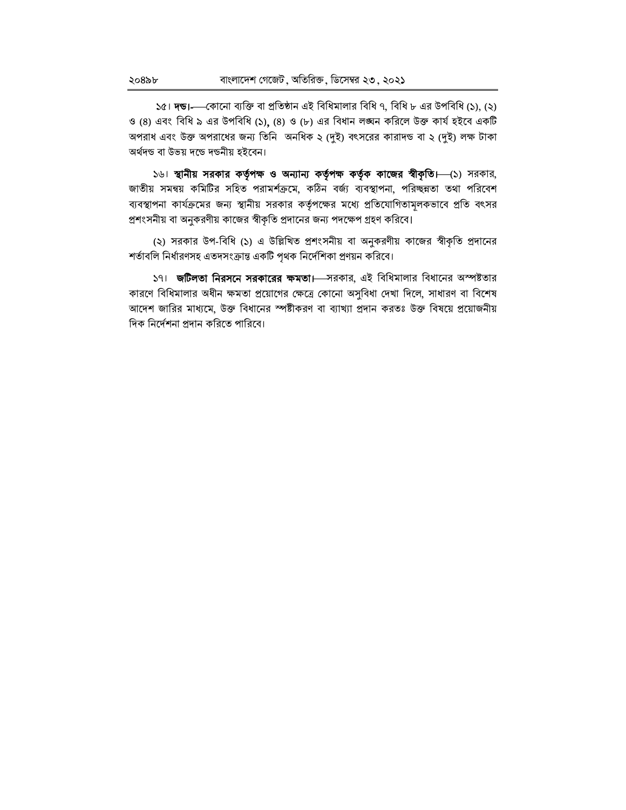১৫। **দন্ড।**— কোনো ব্যক্তি বা প্রতিষ্ঠান এই বিধিমালার বিধি ৭, বিধি ৮ এর উপবিধি (১), (২) ও (8) এবং বিধি ৯ এর উপবিধি (১), (8) ও (৮) এর বিধান লঙ্ঘন করিলে উক্ত কার্য হইবে একটি অপরাধ এবং উক্ত অপরাধের জন্য তিনি অনধিক ২ (দুই) বৎসরের কারাদন্ড বা ২ (দুই) লক্ষ টাকা অৰ্থদণ্ড বা উভয় দণ্ডে দণ্ডনীয় হইবেন।

১৬। স্থানীয় সরকার কর্তৃপক্ষ ও অন্যান্য কর্তৃপক্ষ কর্তৃক কাজের স্বীকৃতি। (১) সরকার, জাতীয় সমন্বয় কমিটির সহিত পরামর্শক্রমে, কঠিন বর্জ্য ব্যবস্থাপনা, পরিচ্ছন্নতা তথা পরিবেশ ব্যবস্থাপনা কার্যক্রমের জন্য স্থানীয় সরকার কর্তৃপক্ষের মধ্যে প্রতিযোগিতামূলকভাবে প্রতি বৎসর প্রশংসনীয় বা অনুকরণীয় কাজের স্বীকৃতি প্রদানের জন্য পদক্ষেপ গ্রহণ করিবে।

(২) সরকার উপ-বিধি (১) এ উল্লিখিত প্রশংসনীয় বা অনুকরণীয় কাজের স্বীকৃতি প্রদানের শর্তাবলি নির্ধারণসহ এতদসংক্রান্ত একটি পৃথক নির্দেশিকা প্রণয়ন করিবে।

১৭। জটিলতা নিরসনে সরকারের ক্ষমতা। সরকার, এই বিধিমালার বিধানের অস্পষ্টতার কারণে বিধিমালার অধীন ক্ষমতা প্রয়োগের ক্ষেত্রে কোনো অসুবিধা দেখা দিলে, সাধারণ বা বিশেষ আদেশ জারির মাধ্যমে, উক্ত বিধানের স্পষ্টীকরণ বা ব্যাখ্যা প্রদান করতঃ উক্ত বিষয়ে প্রয়োজনীয় দিক নির্দেশনা প্রদান করিতে পারিবে।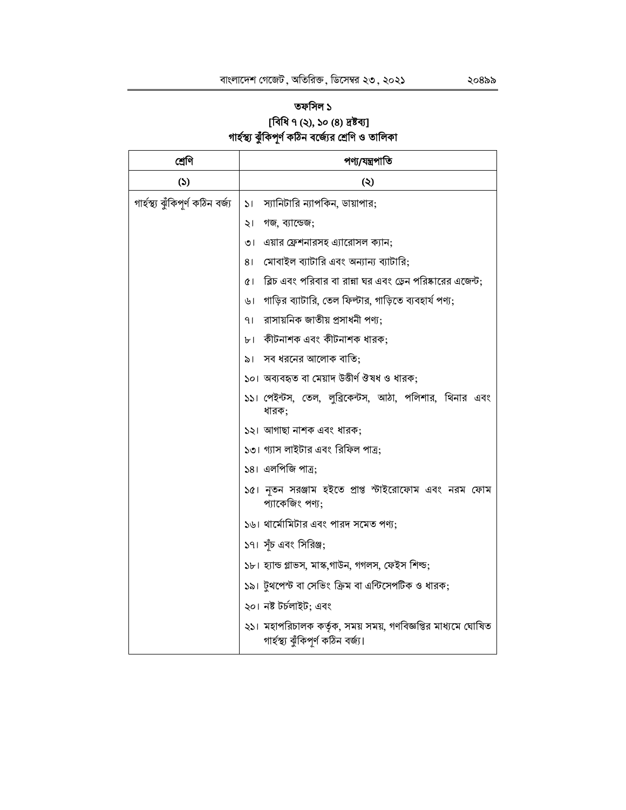# তফসিল ১ [বিধি ৭ (২), ১০ (৪) দ্রষ্টব্য]<br>গার্হস্থ্য ঝুঁকিপূর্ণ কঠিন বর্জ্যের শ্রেণি ও তালিকা

| শ্ৰেণি                            | পণ্য/যন্ত্ৰপাতি                                                                                    |  |
|-----------------------------------|----------------------------------------------------------------------------------------------------|--|
| (5)                               | (২)                                                                                                |  |
| গাৰ্হস্থ্য ঝুঁকিপূৰ্ণ কঠিন বৰ্জ্য | স্যানিটারি ন্যাপকিন, ডায়াপার;<br>$\mathcal{L}$                                                    |  |
|                                   | গজ, ব্যান্ডেজ;<br>২।                                                                               |  |
|                                   | এয়ার ফ্রেশনারসহ এ্যারোসল ক্যান;<br>৩৷                                                             |  |
|                                   | মোবাইল ব্যাটারি এবং অন্যান্য ব্যাটারি;<br>81                                                       |  |
|                                   | ব্লিচ এবং পরিবার বা রান্না ঘর এবং ডেন পরিষ্কারের এজেন্ট;<br>œ١                                     |  |
|                                   | গাড়ির ব্যাটারি, তেল ফিল্টার, গাড়িতে ব্যবহার্য পণ্য;<br>৬।                                        |  |
|                                   | রাসায়নিক জাতীয় প্রসাধনী পণ্য;<br>۹۱                                                              |  |
|                                   | কীটনাশক এবং কীটনাশক ধারক;<br>$b^+$                                                                 |  |
|                                   | সব ধরনের আলোক বাতি;<br>৯।                                                                          |  |
|                                   | ১০। অব্যবহৃত বা মেয়াদ উত্তীর্ণ ঔষধ ও ধারক;                                                        |  |
|                                   | ১১। পেইন্টস, তেল, লুব্রিকেন্টস, আঠা, পলিশার, থিনার এবং<br>ধারক;                                    |  |
|                                   | ১২। আগাছা নাশক এবং ধারক;                                                                           |  |
|                                   | ১৩। গ্যাস লাইটার এবং রিফিল পাত্র;                                                                  |  |
|                                   | ১৪। এলপিজি পাত্র;                                                                                  |  |
|                                   | ১৫। নৃতন সরঞ্জাম হইতে প্রাপ্ত স্টাইরোফোম এবং নরম ফোম<br>প্যাকেজিং পণ্য;                            |  |
|                                   | ১৬। থার্মোমিটার এবং পারদ সমেত পণ্য;                                                                |  |
|                                   | ১৭। সঁচ এবং সিরিঞ্জ;                                                                               |  |
|                                   | ১৮। হ্যান্ড গ্লাভস, মাস্ক,গাউন, গগলস, ফেইস শিল্ড;                                                  |  |
|                                   | ১৯। টুথপেস্ট বা সেভিং ক্রিম বা এন্টিসেপটিক ও ধারক;                                                 |  |
|                                   | ২০। নষ্ট টৰ্চলাইট; এবং                                                                             |  |
|                                   | ২১। মহাপরিচালক কর্তৃক, সময় সময়, গণবিজ্ঞপ্তির মাধ্যমে ঘোষিত<br>গাৰ্হস্থ্য ঝুঁকিপূৰ্ণ কঠিন বৰ্জ্য। |  |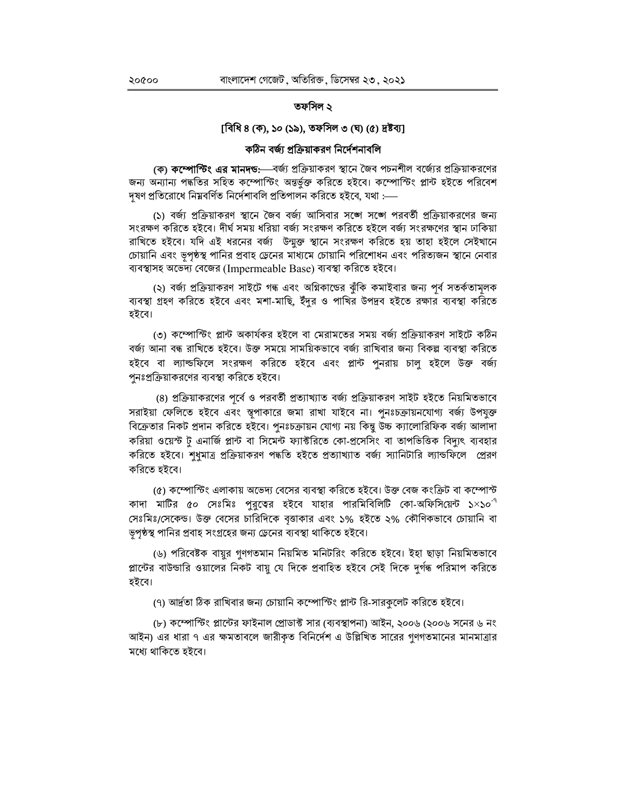#### তফসিল ২

#### [বিধি ৪ (ক), ১০ (১৯), তফসিল ৩ (ঘ) (৫) দ্রষ্টব্য]

#### কঠিন বর্জ্য প্রক্রিয়াকরণ নির্দেশনাবলি

(ক) কম্পোষ্টিং এর মানদন্ড:—বর্জ্য প্রক্রিয়াকরণ স্থানে জৈব পচনশীল বর্জ্যের প্রক্রিয়াকরণের জন্য অন্যান্য পদ্ধতির সহিত কম্পোস্টিং অন্তর্ভুক্ত করিতে হইবে। কম্পোস্টিং প্লান্ট হইতে পরিবেশ দূষণ প্ৰতিরোধে নিম্নবৰ্ণিত নিৰ্দেশাবলি প্ৰতিপালন করিতে হইবে, যথা :—–

(১) বর্জ্য প্রক্রিয়াকরণ স্থানে জৈব বর্জ্য আসিবার সঙ্গে সঙ্গে পরবর্তী প্রক্রিয়াকরণের জন্য সংরক্ষণ করিতে হইবে। দীর্ঘ সময় ধরিয়া বর্জ্য সংরক্ষণ করিতে হইলে বর্জ্য সংরক্ষণের স্থান ঢাকিয়া রাখিতে হইবে। যদি এই ধরনের বর্জ্য উন্মুক্ত স্থানে সংরক্ষণ করিতে হয় তাহা হইলে সেইখানে চোয়ানি এবং ভৃপৃষ্ঠস্থ পানির প্রবাহ ড্রেনের মাধ্যমে চোয়ানি পরিশোধন এবং পরিত্যজন স্থানে নেবার ব্যবস্থাসহ অভেদ্য বেজের (Impermeable Base) ব্যবস্থা করিতে হইবে।

(২) বর্জ্য প্রক্রিয়াকরণ সাইটে গন্ধ এবং অগ্নিকান্ডের ঝুঁকি কমাইবার জন্য পূর্ব সতর্কতামূলক ব্যবস্থা গ্রহণ করিতে হইবে এবং মশা-মাছি, ইঁদুর ও পাখির উপদ্রব হইতে রক্ষার ব্যবস্থা করিতে হইবে।

(৩) কম্পোস্টিং প্লান্ট অকার্যকর হইলে বা মেরামতের সময় বর্জ্য প্রক্রিয়াকরণ সাইটে কঠিন বর্জ্য আনা বন্ধ রাখিতে হইবে। উক্ত সময়ে সাময়িকভাবে বর্জ্য রাখিবার জন্য বিকল্প ব্যবস্থা করিতে হইবে বা ল্যাল্ডফিলে সংরক্ষণ করিতে হইবে এবং প্লান্ট পুনরায় চালু হইলে উক্ত বর্জ্য পুনঃপ্রক্রিয়াকরণের ব্যবস্থা করিতে হইবে।

(৪) প্রক্রিয়াকরণের পূর্বে ও পরবর্তী প্রত্যাখ্যাত বর্জ্য প্রক্রিয়াকরণ সাইট হইতে নিয়মিতভাবে সরাইয়া ফেলিতে হইবে এবং স্তূপাকারে জমা রাখা যাইবে না। পুনঃচক্রায়নযোগ্য বর্জ্য উপযুক্ত বিক্রেতার নিকট প্রদান করিতে হইবে। পুনঃচক্রায়ন যোগ্য নয় কিন্তু উচ্চ ক্যালোরিফিক বর্জ্য আলাদা করিয়া ওয়েস্ট টু এনার্জি প্লান্ট বা সিমেন্ট ফ্যাক্টরিতে কো-প্রসেসিং বা তাপভিত্তিক বিদ্যুৎ ব্যবহার করিতে হইবে। শুধুমাত্র প্রক্রিয়াকরণ পদ্ধতি হইতে প্রত্যাখ্যাত বর্জ্য স্যানিটারি ল্যান্ডফিলে প্রেরণ করিতে হইবে।

(৫) কম্পোস্টিং এলাকায় অভেদ্য বেসের ব্যবস্থা করিতে হইবে। উক্ত বেজ কংক্রিট বা কম্পোস্ট কাদা মাটির ৫০ সেঃমিঃ পুরুত্বের হইবে যাহার পারমিবিলিটি কো-অফিসিয়েন্ট ১×১০ $^{\text{-}^\text{q}}$ সেঃমিঃ/সেকেন্ড। উক্ত বেসের চারিদিকে বৃত্তাকার এবং ১% হইতে ২% কৌণিকভাবে চোয়ানি বা ভূপৃষ্ঠস্থ পানির প্রবাহ সংগ্রহের জন্য ড্রেনের ব্যবস্থা থাকিতে হইবে।

(৬) পরিবেষ্টক বায়ুর গুণগতমান নিয়মিত মনিটরিং করিতে হইবে। ইহা ছাড়া নিয়মিতভাবে প্লান্টের বাউন্ডারি ওয়ালের নিকট বায়ু যে দিকে প্রবাহিত হইবে সেই দিকে দুর্গন্ধ পরিমাপ করিতে হইবে।

(৭) আর্দ্রতা ঠিক রাখিবার জন্য চোয়ানি কম্পোস্টিং প্লান্ট রি-সারকুলেট করিতে হইবে।

(৮) কম্পোস্টিং প্লান্টের ফাইনাল প্রোডাক্ট সার (ব্যবস্থাপনা) আইন, ২০০৬ (২০০৬ সনের ৬ নং আইন) এর ধারা ৭ এর ক্ষমতাবলে জারীকৃত বিনির্দেশ এ উল্লিখিত সারের গুণগতমানের মানমাত্রার মধ্যে থাকিতে হইবে।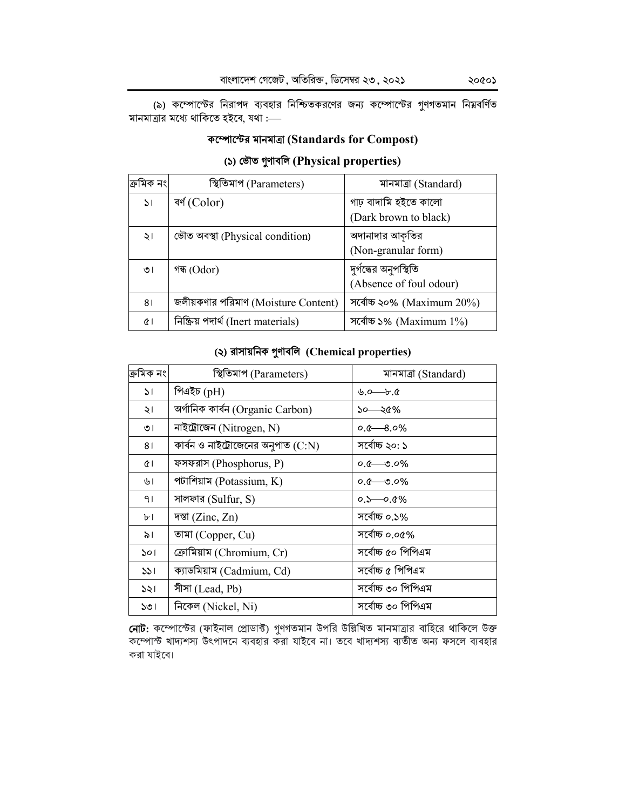(৯) কম্পোস্টের নিরাপদ ব্যবহার নিশ্চিতকরণের জন্য কম্পোস্টের গুণগতমান নিয়বর্ণিত মানমাত্রার মধ্যে থাকিতে হইবে, যথা :-

### কম্পোল্টের মানমাত্রা (Standards for Compost)

#### (১) ভৌত গুণাবলি (Physical properties)

| !ক্ৰামক নং।   | স্থিতিমাপ (Parameters)              | মানমাত্ৰা (Standard)         |
|---------------|-------------------------------------|------------------------------|
| $\mathcal{L}$ | বৰ্ণ (Color)                        | গাঢ় বাদামি হইতে কালো        |
|               |                                     | (Dark brown to black)        |
| ২।            | ভৌত অবস্থা (Physical condition)     | অদানাদার আকৃতির              |
|               |                                     | (Non-granular form)          |
| ৩৷            | গন্ধ (Odor)                         | দুর্গন্ধের অনুপস্থিতি        |
|               |                                     | (Absence of foul odour)      |
| 81            | জলীয়কণার পরিমাণ (Moisture Content) | সর্বোচ্চ ২০% (Maximum 20%)   |
| $\alpha$      | নিক্ষিয় পদার্থ (Inert materials)   | সর্বোচ্চ ১% (Maximum $1\%$ ) |

#### (২) রাসায়নিক গুণাবলি (Chemical properties)

| ক্ৰমিক নং     | স্থিতিমাপ (Parameters)               | মানমাত্ৰা (Standard)                    |
|---------------|--------------------------------------|-----------------------------------------|
| $\mathcal{L}$ | পিএইচ (pH)                           | $\mathfrak{b} \rightarrow \mathfrak{c}$ |
| ২।            | অৰ্গানিক কাৰ্বন (Organic Carbon)     | ১০—২৫%                                  |
| ৩।            | নাইট্রোজেন (Nitrogen, N)             | $0.6 - 8.0\%$                           |
| 81            | কার্বন ও নাইট্রোজেনের অনুপাত $(C:N)$ | সৰ্বোচ্চ ২০: ১                          |
| QΙ            | ফসফরাস (Phosphorus, P)               | $o \rightarrow o \rightarrow o$         |
| ৬।            | পটাশিয়াম (Potassium, $K$ )          | $o \sim 0.0\%$                          |
| 91            | সালফার (Sulfur, S)                   | $0.5 - 0.0\%$                           |
| ৮।            | पछा (Zinc, Zn)                       | সৰ্বোচ্চ ০.১%                           |
| ৯।            | তামা (Copper, Cu)                    | সৰ্বোচ্চ ০.০৫%                          |
| 501           | ক্রোমিয়াম (Chromium, Cr)            | সৰ্বোচ্চ ৫০ পিপিএম                      |
| 331           | ক্যাডমিয়াম (Cadmium, Cd)            | সৰ্বোচ্চ ৫ পিপিএম                       |
| 331           | সীসা (Lead, Pb)                      | সৰ্বোচ্চ ৩০ পিপিএম                      |
| ১৩।           | নিকেল (Nickel, Ni)                   | সৰ্বোচ্চ ৩০ পিপিএম                      |

**নোট:** কম্পোস্টের (ফাইনাল প্রোডাক্ট) গুণগতমান উপরি উল্লিখিত মানমাত্রার বাহিরে থাকিলে উক্ত কম্পোস্ট খাদ্যশস্য উৎপাদনে ব্যবহার করা যাইবে না। তবে খাদ্যশস্য ব্যতীত অন্য ফসলে ব্যবহার করা যাইবে।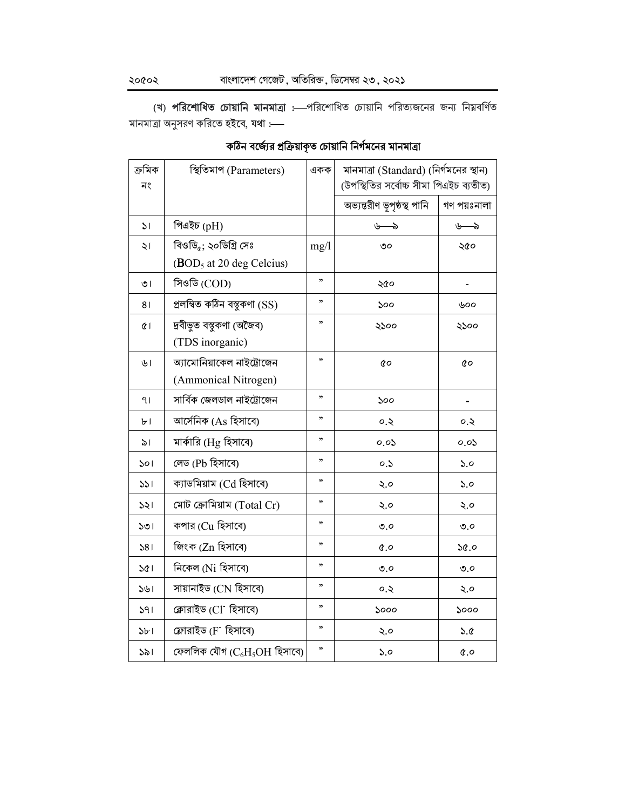(খ) পরিশোধিত চোয়ানি মানমাত্রা :- পরিশোধিত চোয়ানি পরিত্যজনের জন্য নিম্নবর্ণিত মানমাত্রা অনুসরণ করিতে হইবে, যথা :-

# কঠিন বর্জ্যের প্রক্রিয়াকৃত চোয়ানি নির্গমনের মানমাত্রা

| ক্ৰমিক<br>নং   | স্থিতিমাপ (Parameters)               | একক  | মানমাত্রা (Standard) (নির্গমনের স্থান)<br>(উপস্থিতির সর্বোচ্চ সীমা পিএইচ ব্যতীত) |                              |
|----------------|--------------------------------------|------|----------------------------------------------------------------------------------|------------------------------|
|                |                                      |      | অভ্যন্তরীণ ভূপৃষ্ঠস্থ পানি                                                       | গণ পয়ঃনালা                  |
| $\mathcal{L}$  | পিএইচ (pH)                           |      | $b \rightarrow$                                                                  | $v \rightarrow$              |
| ২।             | বিওডি <sub>৫</sub> ; ২০ডিগ্রি সেঃ    | mg/l | ৩০                                                                               | ২৫০                          |
|                | (BOD <sub>5</sub> at 20 deg Celsius) |      |                                                                                  |                              |
| ৩।             | সিওডি (COD)                          | ,    | ২৫০                                                                              | $\qquad \qquad \blacksquare$ |
| 8 <sub>1</sub> | প্ৰলম্বিত কঠিন বম্বুকণা (SS)         | ,,   | ১০০                                                                              | ৬০০                          |
| Œ١             | দ্ৰবীভূত বস্তুকণা (অজৈব)             | ,,   | ২১০০                                                                             | ২১০০                         |
|                | (TDS inorganic)                      |      |                                                                                  |                              |
| ৬।             | অ্যামোনিয়াকেল নাইট্রোজেন            | ,,   | QO                                                                               | QO                           |
|                | (Ammonical Nitrogen)                 |      |                                                                                  |                              |
| 91             | সাৰ্বিক জেলডাল নাইট্ৰোজেন            | ,,   | ১০০                                                                              |                              |
| ৮।             | আর্সেনিক (As হিসাবে)                 | ,,   | ০.২                                                                              | ০.২                          |
| ৯।             | মার্কারি (Hg হিসাবে)                 | ,,   | 0.05                                                                             | 0.05                         |
| ১০।            | লেড (Pb হিসাবে)                      | ,    | 0.5                                                                              | 5.0                          |
| 331            | ক্যাডমিয়াম (Cd হিসাবে)              | ,    | ২.০                                                                              | ১.০                          |
| 321            | মোট ক্রোমিয়াম $(Total Cr)$          | ,,   | ২.০                                                                              | ২.০                          |
| ১৩।            | কপার (Cu হিসাবে)                     | ,,   | ৩.০                                                                              | ৩.০                          |
| 381            | জিংক (Zn হিসাবে)                     | ,,   | $\alpha$ .0                                                                      | 6.92                         |
| ১৫।            | নিকেল (Ni হিসাবে)                    | ,,   | $\mathcal{O}, \mathcal{O}$                                                       | $\mathcal{O}, \mathcal{O}$   |
| ১৬।            | সায়ানাইড (CN হিসাবে)                | ,,   | 0.5                                                                              | ২.০                          |
| 391            | ক্লোরাইড (Cl <sup>-</sup> হিসাবে)    | ,,   | ১০০০                                                                             | ১০০০                         |
| 3b1            | ফ্লোরাইড (F <sup>-</sup> হিসাবে)     | ,,   | ২.০                                                                              | 5.0                          |
| 321            | ফেললিক যৌগ $(C_6H_5OH$ হিসাবে)       | ,,   | 5.0                                                                              | $\alpha$ , $\delta$          |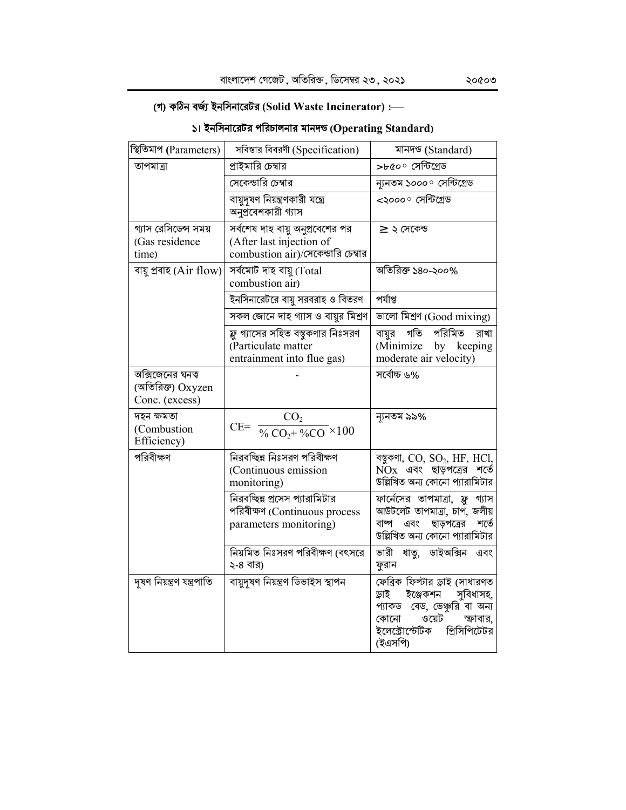# (গ) কঠিন বৰ্জ্য ইনসিনারেটর (Solid Waste Incinerator) :-

| স্থিতিমাপ (Parameters)                                  | সবিস্তার বিবরণী (Specification)                                                                    | মানদন্ড (Standard)                                                                                                                                                        |
|---------------------------------------------------------|----------------------------------------------------------------------------------------------------|---------------------------------------------------------------------------------------------------------------------------------------------------------------------------|
| তাপমাত্রা                                               | প্রাইমারি চেম্বার                                                                                  | >৮৫০° সেন্টিগ্ৰেড                                                                                                                                                         |
|                                                         | সেকেন্ডারি চেম্বার                                                                                 | ন্যনতম ১০০০° সেন্টিগ্ৰেড                                                                                                                                                  |
|                                                         | বায়ুদৃষণ নিয়ন্ত্রণকারী যন্ত্রে<br>অনুপ্রবেশকারী গ্যাস                                            | <২০০০ সেন্টিগ্ৰেড                                                                                                                                                         |
| গ্যাস রেসিডেন্স সময়<br>(Gas residence<br>time)         | সর্বশেষ দাহ বায়ু অনুপ্রবেশের পর<br>(After last injection of<br>combustion air)/সেকেন্ডারি চেম্বার | $\geq$ ২ সেকেন্ড                                                                                                                                                          |
| বায়ু প্ৰবাহ (Air flow)                                 | সৰ্বমোট দাহ বায়ু (Total<br>combustion air)                                                        | অতিরিক্ত ১৪০-২০০%                                                                                                                                                         |
|                                                         | ইনসিনারেটরে বায়ু সরবরাহ ও বিতরণ                                                                   | পৰ্যাপ্ত                                                                                                                                                                  |
|                                                         | সকল জোনে দাহ গ্যাস ও বায়ুর মিশ্রণ                                                                 | ভালো মিশ্ৰণ (Good mixing)                                                                                                                                                 |
|                                                         | ফ্লু গ্যাসের সহিত বস্তুকণার নিঃসরণ<br>(Particulate matter<br>entrainment into flue gas)            | পরিমিত<br>গতি<br>বায়ুর<br>রাখা<br>(Minimize<br>by keeping<br>moderate air velocity)                                                                                      |
| অক্সিজেনের ঘনত্ব<br>(অতিরিক্ত) Oxyzen<br>Conc. (excess) |                                                                                                    | সৰ্বোচ্চ ৬%                                                                                                                                                               |
| দহন ক্ষমতা<br>(Combustion<br>Efficiency)                | CO <sub>2</sub><br>$CE = \frac{60}{\sqrt{6} \text{CO}_2 + \sqrt{6} \text{CO}} \times 100$          | ন্যনতম ৯৯%                                                                                                                                                                |
| পরিবীক্ষণ                                               | নিরবচ্ছিন্ন নিঃসরণ পরিবীক্ষণ<br>(Continuous emission<br>monitoring)                                | বম্বুকণা, CO, SO <sub>2</sub> , HF, HCl,<br>$NOx$ এবং ছাড়পত্রের শর্তে<br>উল্লিখিত অন্য কোনো প্যারামিটার                                                                  |
|                                                         | নিরবচ্ছিন্ন প্রসেস প্যারামিটার<br>পরিবীক্ষণ (Continuous process<br>parameters monitoring)          | ফার্নেসের তাপমাত্রা, ফ্লু গ্যাস<br>আউটলেট তাপমাত্রা, চাপ, জলীয়<br>ছাড়পত্রের<br>শৰ্তে<br>বাষ্প<br>এবং<br>উল্লিখিত অন্য কোনো প্যারামিটার                                  |
|                                                         | নিয়মিত নিঃসরণ পরিবীক্ষণ (বৎসরে<br>২-৪ বার)                                                        | ভারী<br>ডাইঅক্সিন<br>ধাতু,<br>এবং<br>ফুরান                                                                                                                                |
| দৃষণ নিয়ন্ত্ৰণ যন্ত্ৰপাতি                              | বায়ুদূষণ নিয়ন্ত্ৰণ ডিভাইস স্থাপন                                                                 | ফেব্রিক ফিল্টার ড্রাই (সাধারণত<br>ড়াই<br>ইঞ্জেকশন<br>সুবিধাসহ,<br>প্যাকড বেড, ভেঞ্চুরি বা অন্য<br>ওয়েট<br>কোনো<br>ক্ষাবার,<br>ইলেক্টোস্টেটিক<br>প্রিসিপিটেটর<br>(ইএসপি) |

# ১। ইনসিনারেটর পরিচালনার মানদন্ড ( $\bf{Operating\ Standard}$ )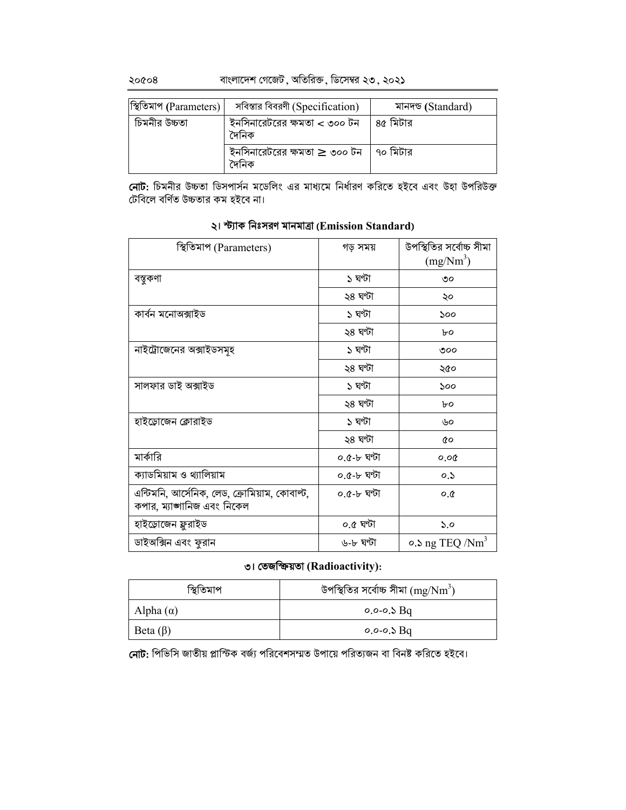বাংলাদেশ গেজেট, অতিরিক্ত, ডিসেম্বর ২৩, ২০২১

| স্থিতিমাপ (Parameters) | সবিস্তার বিবরণী (Specification)                          | মানদণ্ড (Standard) |
|------------------------|----------------------------------------------------------|--------------------|
| চিমনীর উচ্চতা          | ইনসিনারেটরের ক্ষমতা < ৩০০ টন $\,$ $\,$ 8৫ মিটার<br>দৈনিক |                    |
|                        | ইনসিনারেটরের ক্ষমতা $\geq$ ৩০০ টন   ৭০ মিটার<br>দৈনিক    |                    |

নোট: চিমনীর উচ্চতা ডিসপার্সন মডেলিং এর মাধ্যমে নির্ধারণ করিতে হইবে এবং উহা উপরিউক্ত টেবিলে বর্ণিত উচ্চতার কম হইবে না।

| স্থিতিমাপ (Parameters)                        | গড় সময়    | উপস্থিতির সর্বোচ্চ সীমা<br>$(mg/Nm^3)$ |
|-----------------------------------------------|-------------|----------------------------------------|
| বস্তুকণা                                      | ১ ঘণ্টা     | ৩০                                     |
|                                               | ২৪ ঘণ্টা    | ২০                                     |
| কাৰ্বন মনোঅক্সাইড                             | ১ ঘণ্টা     | ১০০                                    |
|                                               | ২৪ ঘণ্টা    | ৮০                                     |
| নাইট্রোজেনের অক্সাইডসমূহ                      | ১ ঘণ্টা     | ৩০০                                    |
|                                               | ২৪ ঘণ্টা    | ২৫০                                    |
| সালফার ডাই অক্সাইড                            | ১ ঘণ্টা     | ১০০                                    |
|                                               | ২৪ ঘণ্টা    | ৮০                                     |
| হাইড়োজেন ক্লোরাইড                            | ১ ঘণ্টা     | ৬০                                     |
|                                               | ২৪ ঘণ্টা    | đο                                     |
| মার্কারি                                      | ০.৫-৮ ঘণ্টা | 0.00                                   |
| ক্যাডমিয়াম ও থ্যালিয়াম                      | ০.৫-৮ ঘণ্টা | 0.5                                    |
| এন্টিমনি, আর্সেনিক, লেড, ক্রোমিয়াম, কোবাল্ট, | ০.৫-৮ ঘণ্টা | O,Q                                    |
| কপার, ম্যাঙ্গানিজ এবং নিকেল                   |             |                                        |
| হাইড্ৰোজেন ফ্লুরাইড                           | ০.৫ ঘণ্টা   | $\mathcal{S}$ .0                       |
| ডাইঅক্সিন এবং ফুরান                           | ৬-৮ ঘণ্টা   | $\circ$ . $\log$ TEQ /Nm <sup>3</sup>  |

#### ২। স্ট্যাক নিঃসরণ মানমাত্রা (Emission Standard)

#### ৩। তেজক্ষিয়তা (Radioactivity):

| স্থিতিমাপ        | উপস্থিতির সর্বোচ্চ সীমা $(\rm{mg/Nm}^3)$ |
|------------------|------------------------------------------|
| Alpha $(\alpha)$ | $0.0 - 0.5$ Bq                           |
| Beta $(\beta)$   | $0.0 - 0.5$ Bq                           |

সোট: পিভিসি জাতীয় প্লাস্টিক বর্জ্য পরিবেশসম্মত উপায়ে পরিত্যজন বা বিনষ্ট করিতে হইবে।

২০৫০৪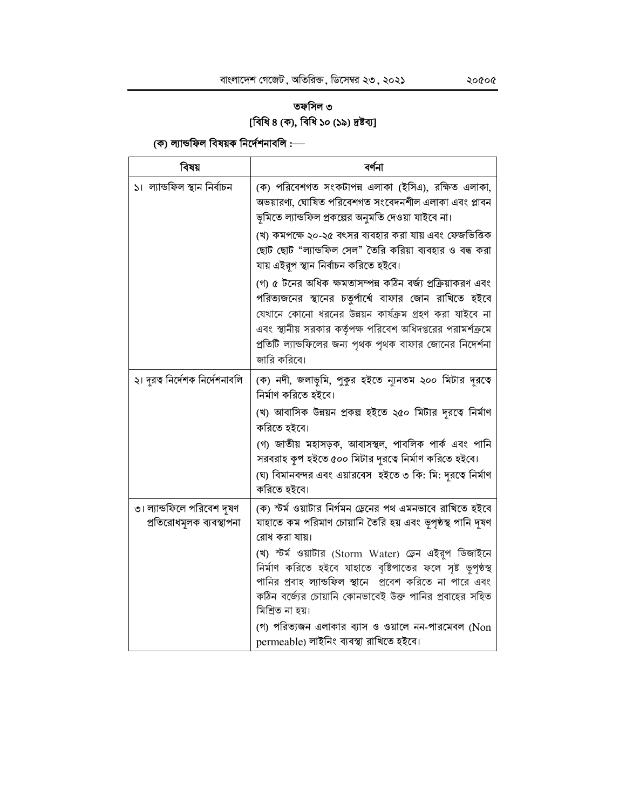# তফসিল ৩ [বিধি ৪ (ক), বিধি ১০ (১৯) দ্রষ্টব্য]

# (ক) ল্যান্ডফিল বিষয়ক নির্দেশনাবলি :—

| বিষয়                                                  | বৰ্ণনা                                                                                                                                                                                                                                                                                                                                                                                                                                                                                                                                                                                                                                                        |
|--------------------------------------------------------|---------------------------------------------------------------------------------------------------------------------------------------------------------------------------------------------------------------------------------------------------------------------------------------------------------------------------------------------------------------------------------------------------------------------------------------------------------------------------------------------------------------------------------------------------------------------------------------------------------------------------------------------------------------|
| ১।  ল্যান্ডফিল স্থান নিৰ্বাচন                          | (ক) পরিবেশগত সংকটাপন্ন এলাকা (ইসিএ), রক্ষিত এলাকা,<br>অভয়ারণ্য, ঘোষিত পরিবেশগত সংবেদনশীল এলাকা এবং প্লাবন<br>ভূমিতে ল্যান্ডফিল প্রকল্পের অনুমতি দেওয়া যাইবে না।<br>(খ) কমপক্ষে ২০-২৫ বৎসর ব্যবহার করা যায় এবং ফেজভিত্তিক<br>ছোট ছোট "ল্যান্ডফিল সেল" তৈরি করিয়া ব্যবহার ও বন্ধ করা<br>যায় এইরূপ স্থান নির্বাচন করিতে হইবে।<br>(গ) ৫ টনের অধিক ক্ষমতাসম্পন্ন কঠিন বর্জ্য প্রক্রিয়াকরণ এবং<br>পরিত্যজনের স্থানের চতুর্পার্শ্বে বাফার জোন রাখিতে হইবে<br>যেখানে কোনো ধরনের উন্নয়ন কার্যক্রম গ্রহণ করা যাইবে না<br>এবং স্থানীয় সরকার কর্তৃপক্ষ পরিবেশ অধিদপ্তরের পরামর্শক্রমে<br>প্রতিটি ল্যান্ডফিলের জন্য পৃথক পৃথক বাফার জোনের নিদের্শনা<br>জারি করিবে। |
| ২। দূরত্ব নির্দেশক নির্দেশনাবলি                        | (ক) নদী, জলাভূমি, পুকুর হইতে ন্যূনতম ২০০ মিটার দূরতে<br>নিৰ্মাণ করিতে হইবে।<br>(খ) আবাসিক উন্নয়ন প্রকল্প হইতে ২৫০ মিটার দূরত্বে নির্মাণ<br>করিতে হইবে।<br>(গ) জাতীয় মহাসড়ক, আবাসস্থল, পাবলিক পাৰ্ক এবং পানি<br>সরবরাহ কূপ হইতে ৫০০ মিটার দূরতে নির্মাণ করিতে হইবে।<br>(ঘ) বিমানবন্দর এবং এয়ারবেস  হইতে ৩ কি: মি: দূরতে নির্মাণ<br>করিতে হইবে।                                                                                                                                                                                                                                                                                                             |
| ৩। ল্যান্ডফিলে পরিবেশ দূষণ<br>প্ৰতিরোধমূলক ব্যবস্থাপনা | (ক) স্টর্ম ওয়াটার নির্গমন ড্রেনের পথ এমনভাবে রাখিতে হইবে<br>যাহাতে কম পরিমাণ চোয়ানি তৈরি হয় এবং ভূপৃষ্ঠস্থ পানি দূষণ<br>রোধ করা যায়।<br>(খ) স্টৰ্ম ওয়াটার (Storm Water) ডেন এইরূপ ডিজাইনে<br>নিৰ্মাণ করিতে হইবে যাহাতে বৃষ্টিপাতের ফলে সৃষ্ট ভূপৃষ্ঠস্থ<br>পানির প্রবাহ ল্যান্ডফিল স্থানে প্রবেশ করিতে না পারে এবং<br>কঠিন বর্জ্যের চোয়ানি কোনভাবেই উক্ত পানির প্রবাহের সহিত<br>মিশ্ৰিত না হয়।<br>(গ) পরিত্যজন এলাকার ব্যাস ও ওয়ালে নন-পারমেবল (Non<br>permeable) লাইনিং ব্যবস্থা রাখিতে হইবে।                                                                                                                                                        |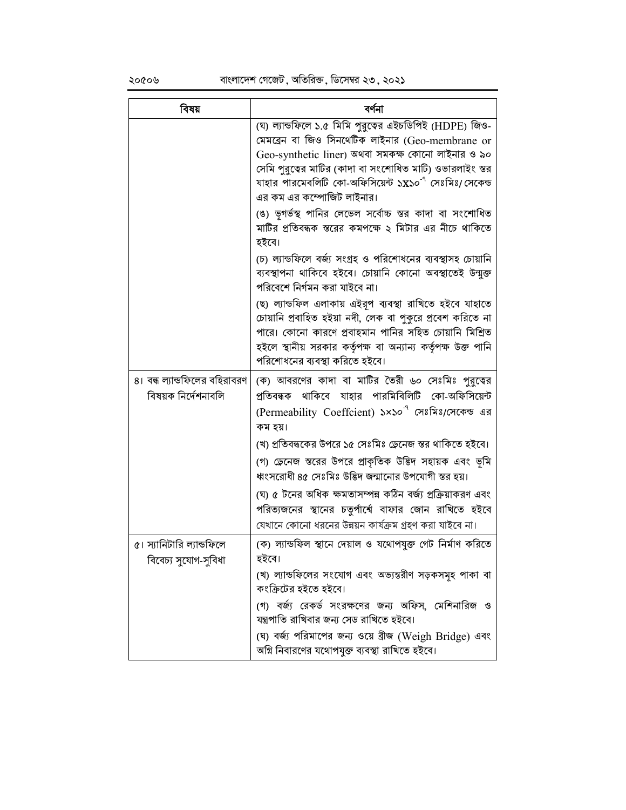২০৫০৬

| বিষয়                                                | বৰ্ণনা                                                                                                                                                                                                                                                                            |
|------------------------------------------------------|-----------------------------------------------------------------------------------------------------------------------------------------------------------------------------------------------------------------------------------------------------------------------------------|
|                                                      | (ঘ) ল্যান্ডফিলে ১.৫ মিমি পুরুত্বের এইচডিপিই (HDPE) জিও-<br>মেমব্রেন বা জিও সিনথেটিক লাইনার (Geo-membrane or                                                                                                                                                                       |
|                                                      | Geo-synthetic liner) অথবা সমকক্ষ কোনো লাইনার ও ৯০<br>সেমি পুরুত্বের মাটির (কাদা বা সংশোধিত মাটি) ওভারলাইং স্তর<br>যাহার পারমেবলিটি কো-অফিসিয়েন্ট ১x১০ <sup>-৭</sup> সেঃমিঃ <i>।</i> সেকেন্ড                                                                                      |
|                                                      | এর কম এর কম্পোজিট লাইনার।                                                                                                                                                                                                                                                         |
|                                                      | (ঙ) ভূগর্ভস্থ পানির লেভেল সর্বোচ্চ স্তর কাদা বা সংশোধিত<br>মাটির প্রতিবন্ধক স্তরের কমপক্ষে ২ মিটার এর নীচে থাকিতে<br>হইবে।                                                                                                                                                        |
|                                                      | (চ) ল্যান্ডফিলে বর্জ্য সংগ্রহ ও পরিশোধনের ব্যবস্থাসহ চোয়ানি<br>ব্যবস্থাপনা থাকিবে হইবে। চোয়ানি কোনো অবস্থাতেই উন্মুক্ত<br>পরিবেশে নির্গমন করা যাইবে না।                                                                                                                         |
|                                                      | (ছ) ল্যান্ডফিল এলাকায় এইরূপ ব্যবস্থা রাখিতে হইবে যাহাতে<br>চোয়ানি প্রবাহিত হইয়া নদী, লেক বা পুকুরে প্রবেশ করিতে না<br>পারে। কোনো কারণে প্রবাহমান পানির সহিত চোয়ানি মিশ্রিত<br>হইলে স্থানীয় সরকার কর্তৃপক্ষ বা অন্যান্য কর্তৃপক্ষ উক্ত পানি<br>পরিশোধনের ব্যবস্থা করিতে হইবে। |
| ৪। বন্ধ ল্যান্ডফিলের বহিরাবরণ<br>বিষয়ক নিৰ্দেশনাবলি | (ক) আবরণের কাদা বা মাটির তৈরী ৬০ সেঃমিঃ পুরুত্বের<br>প্রতিবন্ধক থাকিবে যাহার পারমিবিলিটি কো-অফিসিয়েন্ট                                                                                                                                                                           |
|                                                      | (Permeability Coeffcient) ১×১০ <sup>-৭</sup> সেঃমিঃ/সেকেন্ড এর<br>কম হয়।                                                                                                                                                                                                         |
|                                                      | (খ) প্রতিবন্ধকের উপরে ১৫ সেঃমিঃ ড্রেনেজ স্তর থাকিতে হইবে।                                                                                                                                                                                                                         |
|                                                      | (গ) ডেনেজ স্তরের উপরে প্রাকৃতিক উদ্ভিদ সহায়ক এবং ভূমি<br>ধ্বংসরোধী ৪৫ সেঃমিঃ উদ্ভিদ জন্মানোর উপযোগী স্তর হয়।                                                                                                                                                                    |
|                                                      | (ঘ) ৫ টনের অধিক ক্ষমতাসম্পন্ন কঠিন বর্জ্য প্রক্রিয়াকরণ এবং<br>পরিত্যজনের স্থানের চতুর্পার্শ্বে বাফার জোন রাখিতে হইবে                                                                                                                                                             |
|                                                      | যেখানে কোনো ধরনের উন্নয়ন কার্যক্রম গ্রহণ করা যাইবে না।                                                                                                                                                                                                                           |
| ৫। স্যানিটারি ল্যান্ডফিলে<br>বিবেচ্য সুযোগ-সুবিধা    | (ক) ল্যান্ডফিল স্থানে দেয়াল ও যথোপযুক্ত গেট নিৰ্মাণ করিতে<br>হইবে।                                                                                                                                                                                                               |
|                                                      | (খ) ল্যান্ডফিলের সংযোগ এবং অভ্যন্তরীণ সড়কসমূহ পাকা বা<br>কংক্রিটের হইতে হইবে।                                                                                                                                                                                                    |
|                                                      | (গ) বর্জ্য রেকর্ড সংরক্ষণের জন্য অফিস, মেশিনারিজ ও<br>যন্ত্রপাতি রাখিবার জন্য সেড রাখিতে হইবে।                                                                                                                                                                                    |
|                                                      | (ঘ) বর্জ্য পরিমাপের জন্য ওয়ে ব্রীজ (Weigh Bridge) এবং<br>অগ্নি নিবারণের যথোপযুক্ত ব্যবস্থা রাখিতে হইবে।                                                                                                                                                                          |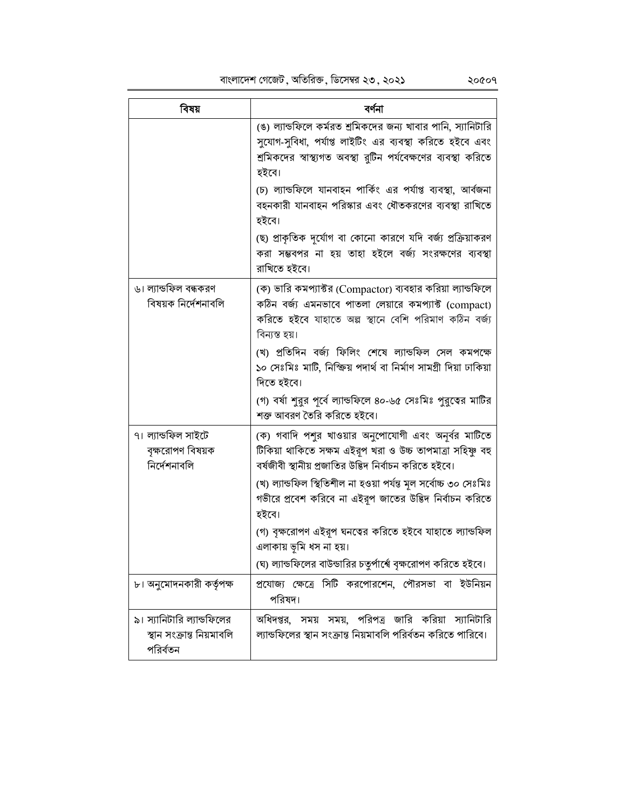বাংলাদেশ গেজেট , অতিরিক্ত , ডিসেম্বর ২৩ , ২০২১

| বিষয়                                                               | বৰ্ণনা                                                                                                                                                                                                                                                                                                      |
|---------------------------------------------------------------------|-------------------------------------------------------------------------------------------------------------------------------------------------------------------------------------------------------------------------------------------------------------------------------------------------------------|
|                                                                     | (ঙ) ল্যান্ডফিলে কর্মরত শ্রমিকদের জন্য খাবার পানি, স্যানিটারি<br>সুযোগ-সুবিধা, পর্যাপ্ত লাইটিং এর ব্যবস্থা করিতে হইবে এবং<br>শ্রমিকদের স্বাস্থ্যগত অবস্থা রুটিন পর্যবেক্ষণের ব্যবস্থা করিতে<br>হইবে।                                                                                                         |
|                                                                     | (চ) ল্যান্ডফিলে যানবাহন পার্কিং এর পর্যাপ্ত ব্যবস্থা, আর্বজনা<br>বহনকারী যানবাহন পরিস্কার এবং ধৌতকরণের ব্যবস্থা রাখিতে<br>হইবে।                                                                                                                                                                             |
|                                                                     | (ছ) প্রাকৃতিক দুর্যোগ বা কোনো কারণে যদি বর্জ্য প্রক্রিয়াকরণ<br>করা সম্ভবপর না হয় তাহা হইলে বর্জ্য সংরক্ষণের ব্যবস্থা<br>রাখিতে হইবে।                                                                                                                                                                      |
| ৬। ল্যান্ডফিল বন্ধকরণ<br>বিষয়ক নিৰ্দেশনাবলি                        | (ক) ভারি কমপ্যাক্টর (Compactor) ব্যবহার করিয়া ল্যান্ডফিলে<br>কঠিন বর্জ্য এমনভাবে পাতলা লেয়ারে কমপ্যাক্ট (compact)<br>করিতে হইবে যাহাতে অল্প স্থানে বেশি পরিমাণ কঠিন বর্জ্য<br>বিন্যস্ত হয়।                                                                                                               |
|                                                                     | (খ) প্ৰতিদিন বৰ্জ্য ফিলিং শেষে ল্যান্ডফিল সেল কমপক্ষে<br>১০ সেঃমিঃ মাটি, নিক্ষিয় পদার্থ বা নির্মাণ সামগ্রী দিয়া ঢাকিয়া<br>দিতে হইবে।                                                                                                                                                                     |
|                                                                     | (গ) বর্ষা শুরুর পূর্বে ল্যান্ডফিলে ৪০-৬৫ সেঃমিঃ পুরুত্বের মাটির<br>শক্ত আবরণ তৈরি করিতে হইবে।                                                                                                                                                                                                               |
| ৭। ল্যান্ডফিল সাইটে<br>বৃক্ষরোপণ বিষয়ক<br>নিৰ্দেশনাবলি             | (ক) গবাদি পশুর খাওয়ার অনুপোযোগী এবং অনূর্বর মাটিতে<br>টিকিয়া থাকিতে সক্ষম এইরূপ খরা ও উচ্চ তাপমাত্রা সহিষ্ণু বহু<br>বর্ষজীবী স্থানীয় প্রজাতির উদ্ভিদ নির্বাচন করিতে হইবে।<br>(খ) ল্যান্ডফিল স্থিতিশীল না হওয়া পৰ্যন্ত মূল সৰ্বোচ্চ ৩০ সেঃমিঃ<br>গভীরে প্রবেশ করিবে না এইরূপ জাতের উদ্ভিদ নির্বাচন করিতে |
|                                                                     | হইবে।<br>(গ) বৃক্ষরোপণ এইরূপ ঘনত্বের করিতে হইবে যাহাতে ল্যান্ডফিল                                                                                                                                                                                                                                           |
|                                                                     | এলাকায় ভূমি ধস না হয়।<br>(ঘ) ল্যান্ডফিলের বাউন্ডারির চতুর্পার্শ্বে বৃক্ষরোপণ করিতে হইবে।                                                                                                                                                                                                                  |
| ৮। অনুমোদনকারী কর্তৃপক্ষ                                            | প্রযোজ্য ক্ষেত্রে সিটি করপোরশেন, পৌরসভা বা ইউনিয়ন<br>পরিষদ।                                                                                                                                                                                                                                                |
| ৯। স্যানিটারি ল্যান্ডফিলের<br>স্থান সংক্ৰান্ত নিয়মাবলি<br>পরির্বতন | অধিদপ্তর, সময় সময়, পরিপত্র জারি করিয়া স্যানিটারি<br>ল্যান্ডফিলের স্থান সংক্রান্ত নিয়মাবলি পরির্বতন করিতে পারিবে।                                                                                                                                                                                        |

২০৫০৭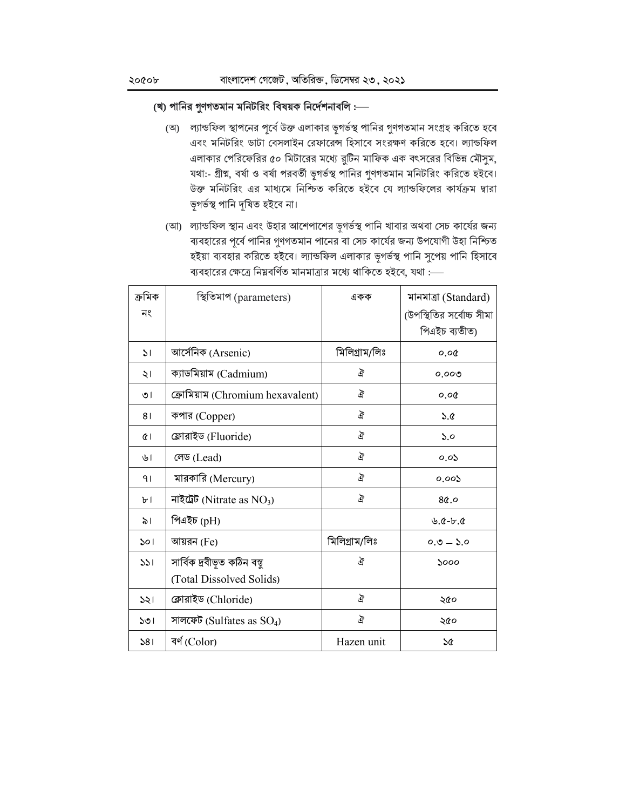#### (খ) পানির গুণগতমান মনিটরিং বিষয়ক নির্দেশনাবলি :---

- (অ) ল্যান্ডফিল স্থাপনের পূর্বে উক্ত এলাকার ভূগর্ভস্থ পানির গুণগতমান সংগ্রহ করিতে হবে এবং মনিটরিং ডাটা বেসলাইন রেফারেন্স হিসাবে সংরক্ষণ করিতে হবে। ল্যান্ডফিল এলাকার পেরিফেরির ৫০ মিটারের মধ্যে রুটিন মাফিক এক বৎসরের বিভিন্ন মৌসুম, যথা:- গ্রীষ্ম, বর্ষা ও বর্ষা পরবর্তী ভূগর্ভস্থ পানির গুণগতমান মনিটরিং করিতে হইবে। উক্ত মনিটরিং এর মাধ্যমে নিশ্চিত করিতে হইবে যে ল্যান্ডফিলের কার্যক্রম দ্বারা ভূগৰ্ভস্থ পানি দূষিত হইবে না।
- (আ) ল্যান্ডফিল স্থান এবং উহার আশেপাশের ভূগর্ভস্থ পানি খাবার অথবা সেচ কার্যের জন্য ব্যবহারের পূর্বে পানির গুণগতমান পানের বা সেচ কার্যের জন্য উপযোগী উহা নিশ্চিত হইয়া ব্যবহার করিতে হইবে। ল্যান্ডফিল এলাকার ভূগর্ভস্থ পানি সুপেয় পানি হিসাবে ব্যবহারের ক্ষেত্রে নিম্নবর্ণিত মানমাত্রার মধ্যে থাকিতে হইবে, যথা :-

| ক্ৰমিক        | স্থিতিমাপ (parameters)           | একক           | মানমাত্ৰা (Standard)                            |
|---------------|----------------------------------|---------------|-------------------------------------------------|
| নং            |                                  |               | (উপস্থিতির সর্বোচ্চ সীমা                        |
|               |                                  |               | পিএইচ ব্যতীত)                                   |
| $\mathcal{L}$ | আর্সেনিক (Arsenic)               | মিলিগ্ৰাম/লিঃ | 0.00                                            |
| ২।            | ক্যাডমিয়াম (Cadmium)            | ঐ             | 0.009                                           |
| ৩।            | ক্রোমিয়াম (Chromium hexavalent) | ঐ             | 0.00                                            |
| 81            | কপার (Copper)                    | ঐ             | 5.6                                             |
| Œ١            | ফ্লোরাইড (Fluoride)              | ঐ             | 5.0                                             |
| ৬।            | লেড (Lead)                       | ঐ             | 0.05                                            |
| 91            | মারকারি (Mercury)                | ঐ             | 0.005                                           |
| ৮।            | নাইট্ৰেট (Nitrate as $NO_3$ )    | ঐ             | 80.0                                            |
| ৯।            | পিএইচ (pH)                       |               | $\mathcal{L}$ . $\mathcal{C}$ -b. $\mathcal{C}$ |
| 501           | আয়রন (Fe)                       | মিলিগ্ৰাম/লিঃ | $0.0 - 5.0$                                     |
| 331           | সার্বিক দ্রবীভূত কঠিন বস্তু      | ঐ             | 5000                                            |
|               | (Total Dissolved Solids)         |               |                                                 |
| 331           | ক্লোরাইড (Chloride)              | ঐ             | ২৫০                                             |
| 501           | সালফেট (Sulfates as $SO_4$ )     | ঐ             | ২৫০                                             |
| 381           | বৰ্ণ (Color)                     | Hazen unit    | ১৫                                              |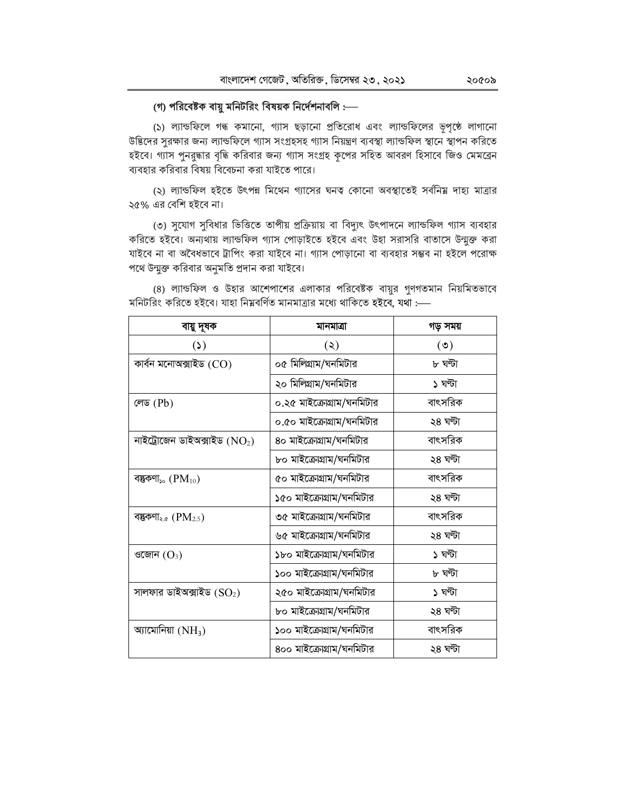#### (গ) পরিবেষ্টক বায়ু মনিটরিং বিষয়ক নির্দেশনাবলি :---

(১) ল্যান্ডফিলে গন্ধ কমানো, গ্যাস ছড়ানো প্ৰতিরোধ এবং ল্যান্ডফিলের ভূপৃষ্ঠে লাগানো উদ্ভিদের সুরক্ষার জন্য ল্যান্ডফিলে গ্যাস সংগ্রহসহ গ্যাস নিয়ন্ত্রণ ব্যবস্থা ল্যান্ডফিল স্থানে স্থাপন করিতে হইবে। গ্যাস পুনরুদ্ধার বৃদ্ধি করিবার জন্য গ্যাস সংগ্রহ কৃপের সহিত আবরণ হিসাবে জিও মেমব্রেন ব্যবহার করিবার বিষয় বিবেচনা করা যাইতে পারে।

(২) ল্যান্ডফিল হইতে উৎপন্ন মিথেন গ্যাসের ঘনত্ব কোনো অবস্থাতেই সর্বনিয় দাহ্য মাত্রার ২৫% এর বেশি হইবে না।

(৩) সুযোগ সুবিধার ভিত্তিতে তাপীয় প্রক্রিয়ায় বা বিদ্যুৎ উৎপাদনে ল্যান্ডফিল গ্যাস ব্যবহার করিতে হইবে। অন্যথায় ল্যান্ডফিল গ্যাস পোড়াইতে হইবে এবং উহা সরাসরি বাতাসে উন্মুক্ত করা যাইবে না বা অবৈধভাবে ট্রাপিং করা যাইবে না। গ্যাস পোড়ানো বা ব্যবহার সম্ভব না হইলে পরোক্ষ পথে উন্মুক্ত করিবার অনুমতি প্রদান করা যাইবে।

| বায়ু দূষক                                   | মানমাত্রা                 | গড় সময় |
|----------------------------------------------|---------------------------|----------|
| (2)                                          | (5)                       | (5)      |
| কাৰ্বন মনোঅক্সাইড (CO)                       | ০৫ মিলিগ্রাম/ঘনমিটার      | ৮ ঘণ্টা  |
|                                              | ২০ মিলিগ্রাম/ঘনমিটার      | ১ ঘণ্টা  |
| লেড $(Pb)$                                   | ০.২৫ মাইক্রোগ্রাম/ঘনমিটার | বাৎসরিক  |
|                                              | ০.৫০ মাইক্রোগ্রাম/ঘনমিটার | ২৪ ঘণ্টা |
| নাইট্ৰোজেন ডাইঅক্সাইড $(NO2)$                | ৪০ মাইক্রোগ্রাম/ঘনমিটার   | বাৎসরিক  |
|                                              | ৮০ মাইক্রোগ্রাম/ঘনমিটার   | ২৪ ঘণ্টা |
| বস্তুকণা <sub>১০</sub> $(\mathrm{PM_{10}})$  | ৫০ মাইক্রোগ্রাম/ঘনমিটার   | বাৎসরিক  |
|                                              | ১৫০ মাইক্রোগ্রাম/ঘনমিটার  | ২৪ ঘণ্টা |
| বম্ভকণা <sub>২.৫</sub> $(\mathrm{PM}_{2.5})$ | ৩৫ মাইক্রোগ্রাম/ঘনমিটার   | বাৎসরিক  |
|                                              | ৬৫ মাইক্রোগ্রাম/ঘনমিটার   | ২৪ ঘণ্টা |
| ওজোন $(O_3)$                                 | ১৮০ মাইক্রোগ্রাম/ঘনমিটার  | ১ ঘণ্টা  |
|                                              | ১০০ মাইক্রোগ্রাম/ঘনমিটার  | ৮ ঘণ্টা  |
| সালফার ডাইঅক্সাইড $(\mathrm{SO}_2)$          | ২৫০ মাইক্রোগ্রাম/ঘনমিটার  | ১ ঘণ্টা  |
|                                              | ৮০ মাইক্রোগ্রাম/ঘনমিটার   | ২৪ ঘণ্টা |
| আমোনিয়া $(NH_3)$                            | ১০০ মাইক্রোগ্রাম/ঘনমিটার  | বাৎসরিক  |
|                                              | ৪০০ মাইক্রোগ্রাম/ঘনমিটার  | ২৪ ঘণ্টা |

(8) ল্যান্ডফিল ও উহার আশেপাশের এলাকার পরিবেষ্টক বায়ুর গুণগতমান নিয়মিতভাবে মনিটরিং করিতে হইবে। যাহা নিম্নবর্ণিত মানমাত্রার মধ্যে থাকিতে হইবে, যথা :-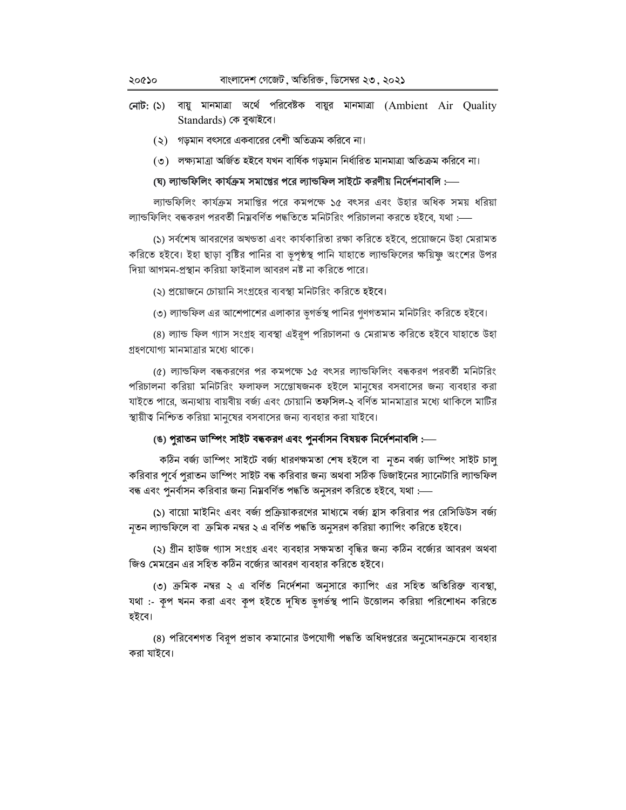- নোট: (১) বায়ু মানমাত্রা অর্থে পরিবেষ্টক বায়ুর মানমাত্রা (Ambient Air Quality Standards) কে বুঝাইবে।
	- $(5)$  গড়মান বৎসরে একবারের বেশী অতিক্রম করিবে না।
	- (৩) লক্ষ্যমাত্রা অর্জিত হইবে যখন বার্ষিক গড়মান নির্ধারিত মানমাত্রা অতিক্রম করিবে না।

#### (ঘ) ল্যান্ডফিলিং কাৰ্যক্ৰম সমাপ্তের পরে ল্যান্ডফিল সাইটে করণীয় নির্দেশনাবলি :—

ল্যান্ডফিলিং কার্যক্রম সমাপ্তির পরে কমপক্ষে ১৫ বৎসর এবং উহার অধিক সময় ধরিয়া ল্যান্ডফিলিং বন্ধকরণ পরবর্তী নিম্নবর্ণিত পদ্ধতিতে মনিটরিং পরিচালনা করতে হইবে, যথা :---

(১) সর্বশেষ আবরণের অখডতা এবং কার্যকারিতা রক্ষা করিতে হইবে, প্রয়োজনে উহা মেরামত করিতে হইবে। ইহা ছাড়া বৃষ্টির পানির বা ভূপৃষ্ঠস্থ পানি যাহাতে ল্যান্ডফিলের ক্ষয়িষ্ণু অংশের উপর দিয়া আগমন-প্ৰস্থান করিয়া ফাইনাল আবরণ নষ্ট না করিতে পারে।

(২) প্রয়োজনে চোয়ানি সংগ্রহের ব্যবস্থা মনিটরিং করিতে হইবে।

(৩) ল্যান্ডফিল এর আশেপাশের এলাকার ভূগর্ভস্থ পানির গুণগতমান মনিটরিং করিতে হইবে।

(৪) ল্যান্ড ফিল গ্যাস সংগ্ৰহ ব্যবস্থা এইরুপ পরিচালনা ও মেরামত করিতে হইবে যাহাতে উহা গ্রহণযোগ্য মানমাত্রার মধ্যে থাকে।

(৫) ল্যান্ডফিল বন্ধকরণের পর কমপক্ষে ১৫ বৎসর ল্যান্ডফিলিং বন্ধকরণ পরবর্তী মনিটরিং পরিচালনা করিয়া মনিটরিং ফলাফল সঞোেষজনক হইলে মানুষের বসবাসের জন্য ব্যবহার করা যাইতে পারে, অন্যথায় বায়বীয় বর্জ্য এবং চোয়ানি তফসিল-২ বর্ণিত মানমাত্রার মধ্যে থাকিলে মাটির স্থায়ীত্ব নিশ্চিত করিয়া মানুষের বসবাসের জন্য ব্যবহার করা যাইবে।

#### (ঙ) পুরাতন ডাম্পিং সাইট বন্ধকরণ এবং পুনর্বাসন বিষয়ক নির্দেশনাবলি :—

কঠিন বৰ্জ্য ডাম্পিং সাইটে বৰ্জ্য ধারণক্ষমতা শেষ হইলে বা নৃতন বৰ্জ্য ডাম্পিং সাইট চালু করিবার পূর্বে পুরাতন ডাম্পিং সাইট বন্ধ করিবার জন্য অথবা সঠিক ডিজাইনের স্যানেটারি ল্যান্ডফিল বন্ধ এবং পুনর্বাসন করিবার জন্য নিম্নবর্ণিত পদ্ধতি অনুসরণ করিতে হইবে, যথা :---

(১) বায়ো মাইনিং এবং বর্জ্য প্রক্রিয়াকরণের মাধ্যমে বর্জ্য হ্রাস করিবার পর রেসিডিউস বর্জ্য নৃতন ল্যান্ডফিলে বা ক্রমিক নম্বর ২ এ বর্ণিত পদ্ধতি অনুসরণ করিয়া ক্যাপিং করিতে হইবে।

(২) গ্রীন হাউজ গ্যাস সংগ্রহ এবং ব্যবহার সক্ষমতা বৃদ্ধির জন্য কঠিন বর্জ্যের আবরণ অথবা জিও মেমব্রেন এর সহিত কঠিন বর্জ্যের আবরণ ব্যবহার করিতে হইবে।

(৩) ক্রমিক নম্বর ২ এ বর্ণিত নির্দেশনা অনুসারে ক্যাপিং এর সহিত অতিরিক্ত ব্যবস্থা, যথা :- কৃপ খনন করা এবং কৃপ হইতে দৃষিত ভূগর্ভস্থ পানি উত্তোলন করিয়া পরিশোধন করিতে হইবে।

(৪) পরিবেশগত বিরুপ প্রভাব কমানোর উপযোগী পদ্ধতি অধিদপ্তরের অনুমোদনক্রমে ব্যবহার করা যাইবে।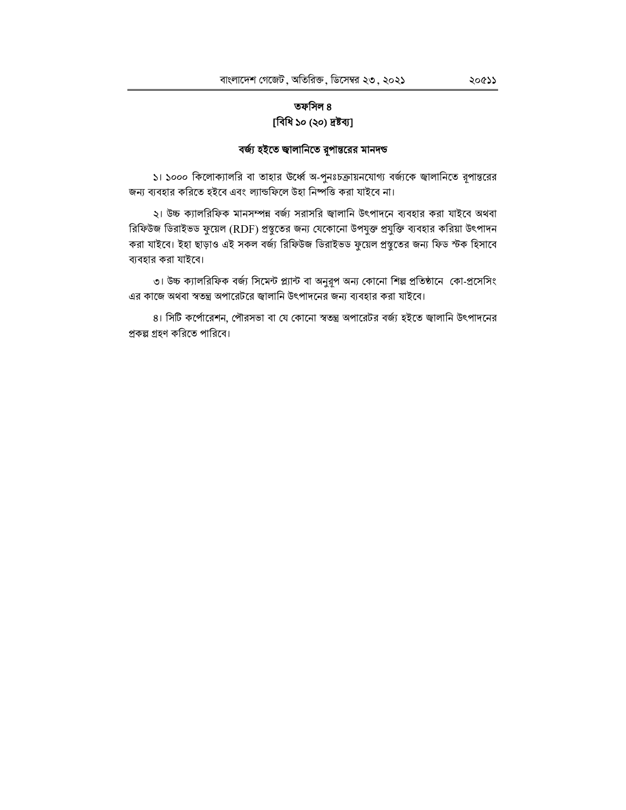### তফসিল ৪ [বিধি ১০ (২০) দ্ৰষ্টব্য]

### বর্জ্য হইতে জ্বালানিতে রূপান্তরের মানদন্ড

১। ১০০০ কিলোক্যালরি বা তাহার উর্ধ্বে অ-পুনঃচক্রায়নযোগ্য বর্জ্যকে জ্বালানিতে রূপান্তরের জন্য ব্যবহার করিতে হইবে এবং ল্যান্ডফিলে উহা নিষ্পত্তি করা যাইবে না।

২। উচ্চ ক্যালরিফিক মানসম্পন্ন বর্জ্য সরাসরি জ্বালানি উৎপাদনে ব্যবহার করা যাইবে অথবা রিফিউজ ডিরাইভড ফুয়েল (RDF) প্রস্তুতের জন্য যেকোনো উপযুক্ত প্রযুক্তি ব্যবহার করিয়া উৎপাদন করা যাইবে। ইহা ছাড়াও এই সকল বর্জ্য রিফিউজ ডিরাইভড ফুয়েল প্রস্তুতের জন্য ফিড স্টক হিসাবে ব্যবহার করা যাইবে।

৩। উচ্চ ক্যালরিফিক বর্জ্য সিমেন্ট প্ল্যান্ট বা অনুরূপ অন্য কোনো শিল্প প্রতিষ্ঠানে কো-প্রসেসিং এর কাজে অথবা স্বতন্ত্র অপারেটরে জ্বালানি উৎপাদনের জন্য ব্যবহার করা যাইবে।

৪। সিটি কর্পোরেশন, পৌরসভা বা যে কোনো স্বতন্ত্র অপারেটর বর্জ্য হইতে জ্বালানি উৎপাদনের প্রকল্প গ্রহণ করিতে পারিবে।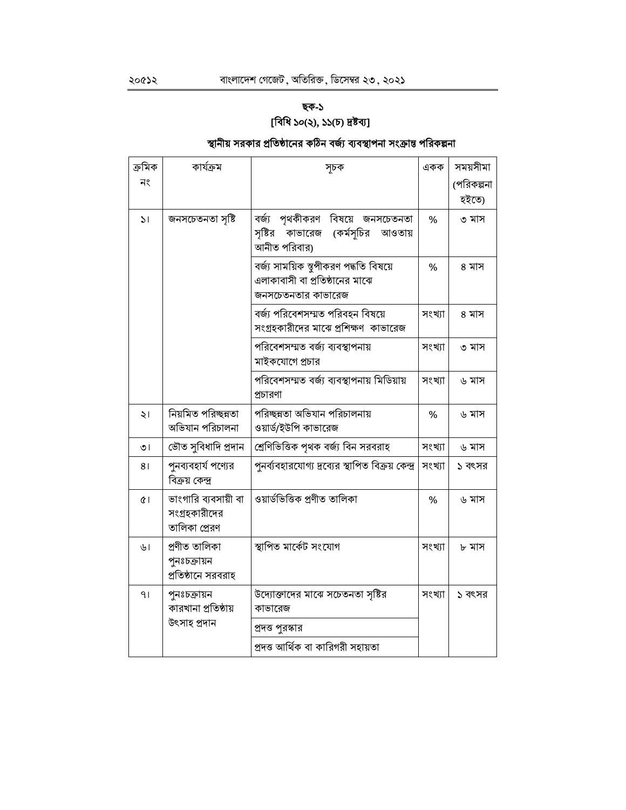# ছক-১ [বিধি ১০(২), ১১(চ) দ্ৰষ্টব্য]

# স্থানীয় সরকার প্রতিষ্ঠানের কঠিন বর্জ্য ব্যবস্থাপনা সংক্রান্ত পরিকল্পনা

| ক্ৰমিক         | কাৰ্যক্ৰম                                              | সূচক                                                                                           | একক    | সময়সীমা   |
|----------------|--------------------------------------------------------|------------------------------------------------------------------------------------------------|--------|------------|
| নং             |                                                        |                                                                                                |        | (পরিকল্পনা |
|                |                                                        |                                                                                                |        | হইতে)      |
| $\mathcal{L}$  | জনসচেতনতা সৃষ্টি                                       | বর্জ্য পৃথকীকরণ বিষয়ে জনসচেতনতা<br>সৃষ্টির<br>(কর্মসূচির<br>কাভারেজ<br>আওতায়<br>আনীত পরিবার) | %      | ৩ মাস      |
|                |                                                        | বৰ্জ্য সাময়িক স্থূপীকরণ পদ্ধতি বিষয়ে<br>এলাকাবাসী বা প্রতিষ্ঠানের মাঝে<br>জনসচেতনতার কাভারেজ | %      | ৪ মাস      |
|                |                                                        | বর্জ্য পরিবেশসম্মত পরিবহন বিষয়ে<br>সংগ্রহকারীদের মাঝে প্রশিক্ষণ  কাভারেজ                      | সংখ্যা | ৪ মাস      |
|                |                                                        | পরিবেশসম্মত বর্জ্য ব্যবস্থাপনায়<br>মাইকযোগে প্রচার                                            | সংখ্যা | ৩ মাস      |
|                |                                                        | পরিবেশসম্মত বর্জ্য ব্যবস্থাপনায় মিডিয়ায়<br>প্রচারণা                                         | সংখ্যা | ৬ মাস      |
| $\frac{1}{2}$  | নিয়মিত পরিচ্ছন্নতা<br>অভিযান পরিচালনা                 | পরিচ্ছন্নতা অভিযান পরিচালনায়<br>ওয়ার্ড/ইউপি কাভারেজ                                          | $\%$   | ৬ মাস      |
| $\overline{O}$ | ভৌত সুবিধাদি প্ৰদান                                    | শ্রেণিভিত্তিক পৃথক বর্জ্য বিন সরবরাহ                                                           | সংখ্যা | ৬ মাস      |
| 81             | পুনব্যবহার্য পণ্যের<br>বিক্রয় কেন্দ্র                 | পুনর্ব্যবহারযোগ্য দ্রব্যের স্থাপিত বিক্রয় কেন্দ্র                                             | সংখ্যা | ১ বৎসর     |
| $\alpha$       | ভাংগারি ব্যবসায়ী বা<br>সংগ্রহকারীদের<br>তালিকা প্ৰেরণ | ওয়াৰ্ডভিত্তিক প্ৰণীত তালিকা                                                                   | %      | ৬ মাস      |
| ৬।             | প্ৰণীত তালিকা<br>পুনঃচক্ৰায়ন<br>প্রতিষ্ঠানে সরবরাহ    | স্থাপিত মাৰ্কেট সংযোগ                                                                          | সংখ্যা | ৮ মাস      |
| 91             | পুনঃচক্ৰায়ন<br>কারখানা প্রতিষ্ঠায়                    | উদ্যোক্তাদের মাঝে সচেতনতা সৃষ্টির<br>কাভারেজ                                                   | সংখ্যা | ১ বৎসর     |
|                | উৎসাহ প্ৰদান                                           | প্রদত্ত পুরস্কার                                                                               |        |            |
|                |                                                        | প্ৰদত্ত আৰ্থিক বা কারিগরী সহায়তা                                                              |        |            |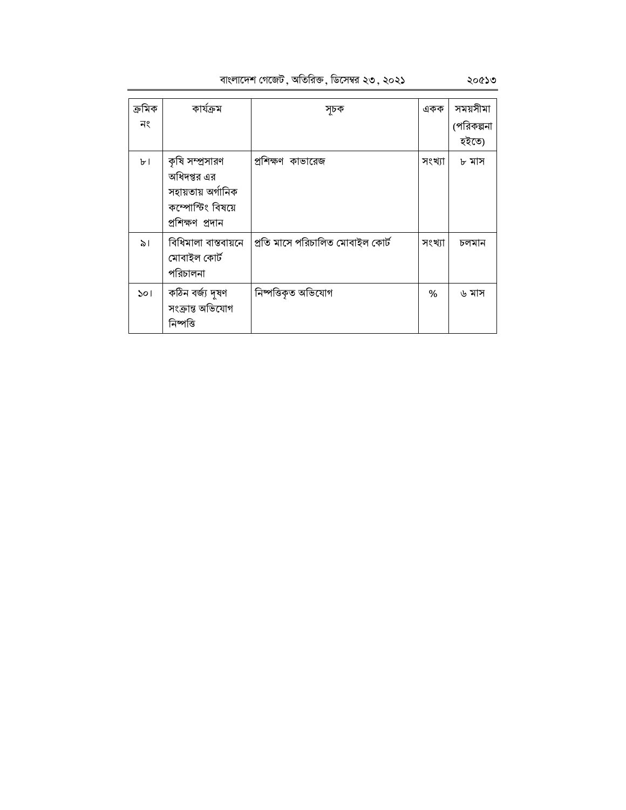| বাংলাদেশ গেজেট , অতিরিক্ত , ডিসেম্বর ২৩ , ২০২১ |  |  |  |
|------------------------------------------------|--|--|--|
|                                                |  |  |  |

| ক্ৰমিক | কাৰ্যক্ৰম            | সূচক                             | একক    | সময়সীমা   |
|--------|----------------------|----------------------------------|--------|------------|
| নং     |                      |                                  |        | (পরিকল্পনা |
|        |                      |                                  |        | হইতে)      |
| ৮।     | কৃষি সম্প্রসারণ      | প্রশিক্ষণ কাভারেজ                | সংখ্যা | ৮ মাস      |
|        | অধিদপ্তর এর          |                                  |        |            |
|        | সহায়তায় অৰ্গানিক   |                                  |        |            |
|        | কম্পোস্টিং বিষয়ে    |                                  |        |            |
|        | প্ৰশিক্ষণ প্ৰদান     |                                  |        |            |
| ৯।     | বিধিমালা বাস্তবায়নে | প্ৰতি মাসে পরিচালিত মোবাইল কোৰ্ট | সংখ্যা | চলমান      |
|        | মোবাইল কোৰ্ট         |                                  |        |            |
|        | পরিচালনা             |                                  |        |            |
| ১০।    | কঠিন বৰ্জ্য দূষণ     | নিষ্পত্তিকৃত অভিযোগ              | %      | ৬ মাস      |
|        | সংক্ৰান্ত অভিযোগ     |                                  |        |            |
|        | নিষ্পত্তি            |                                  |        |            |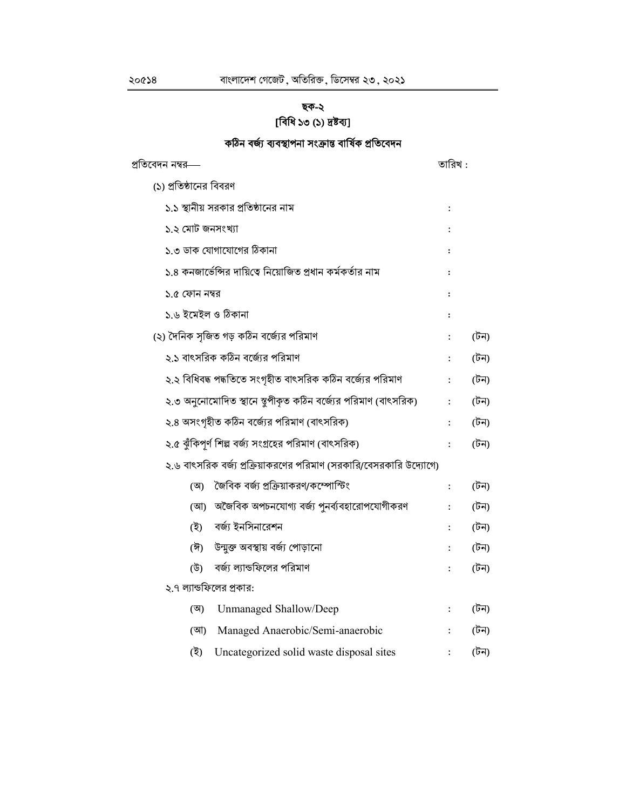# ছক-২ [বিধি ১৩ (১) দ্ৰষ্টব্য]

# কঠিন বৰ্জ্য ব্যবস্থাপনা সংক্ৰান্ত বাৰ্ষিক প্ৰতিবেদন

| প্রতিবেদন নম্বর—                                                    | তারিখ :              |      |
|---------------------------------------------------------------------|----------------------|------|
| (১) প্রতিষ্ঠানের বিবরণ                                              |                      |      |
| ১.১ স্থানীয় সরকার প্রতিষ্ঠানের নাম                                 | :                    |      |
| ১.২ মোট জনসংখ্যা                                                    |                      |      |
| ১.৩ ডাক যোগাযোগের ঠিকানা                                            | $\ddot{\cdot}$       |      |
| ১.৪ কনজার্ভেন্সির দায়িত্বে নিয়োজিত প্রধান কর্মকর্তার নাম          | $\ddot{\phantom{a}}$ |      |
| ১.৫ ফোন নম্বর                                                       | $\ddot{\cdot}$       |      |
| ১.৬ ইমেইল ও ঠিকানা                                                  | $\ddot{\cdot}$       |      |
| (২) দৈনিক সজিত গড় কঠিন বর্জ্যের পরিমাণ                             |                      | (টন) |
| ২.১ বাৎসরিক কঠিন বর্জেরে পরিমাণ                                     |                      | (টন) |
| ২.২ বিধিবদ্ধ পদ্ধতিতে সংগৃহীত বাৎসরিক কঠিন বর্জ্যের পরিমাণ          | $\ddot{\phantom{a}}$ | (টন) |
| ২.৩ অনুনোমোদিত স্থানে স্থূপীকৃত কঠিন বর্জ্যের পরিমাণ (বাৎসরিক)      | $\ddot{\cdot}$       | (টন) |
| ২.৪ অসংগৃহীত কঠিন বর্জ্যের পরিমাণ (বাৎসরিক)                         |                      | (টন) |
| ২.৫ ঝুঁকিপূর্ণ শিল্প বর্জ্য সংগ্রহের পরিমাণ (বাৎসরিক)               | $\ddot{\cdot}$       | (টন) |
| ২.৬ বাৎসরিক বর্জ্য প্রক্রিয়াকরণের পরিমাণ (সরকারি/বেসরকারি উদ্যোগে) |                      |      |
| জৈবিক বৰ্জ্য প্ৰক্ৰিয়াকরণ/কম্পোস্টিং<br>(অ)                        | $\ddot{\cdot}$       | (টন) |
| অজৈবিক অপচনযোগ্য বর্জ্য পুনর্ব্যবহারোপযোগীকরণ<br>(আ)                | $\ddot{\phantom{a}}$ | (টন) |
| বর্জ্য ইনসিনারেশন<br>(ই)                                            |                      | (টন) |
| উন্মুক্ত অবস্থায় বর্জ্য পোড়ানো<br>(ঈ)                             |                      | (টন) |
| বর্জ্য ল্যান্ডফিলের পরিমাণ<br>(উ)                                   |                      | (টন) |
| ২.৭ ল্যান্ডফিলের প্রকার:                                            |                      |      |
| Unmanaged Shallow/Deep<br>(অ)                                       | $\ddot{\cdot}$       | (টন) |
| Managed Anaerobic/Semi-anaerobic<br>(আ)                             |                      | (টন) |
| (ই)<br>Uncategorized solid waste disposal sites                     |                      | (টন) |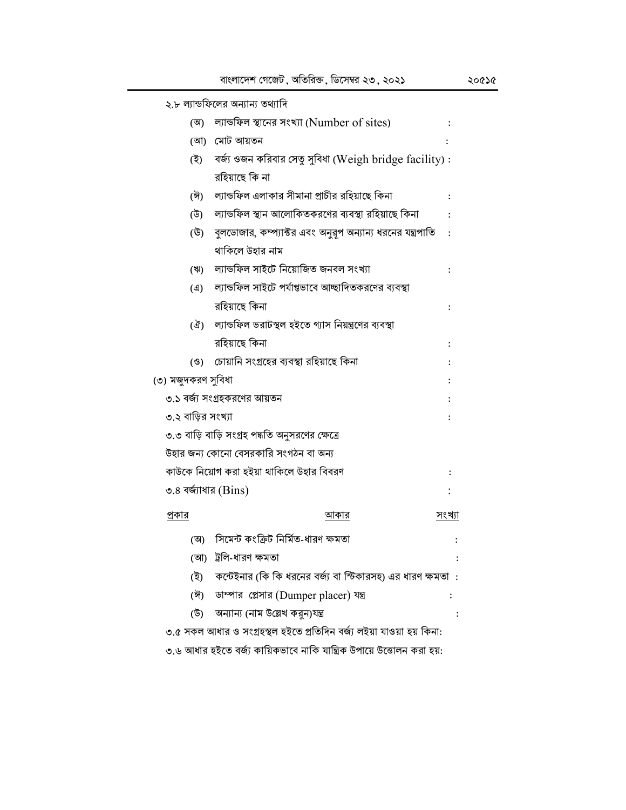| ২.৮ ল্যান্ডফিলের অন্যান্য তথ্যাদি               |                                                              |                      |
|-------------------------------------------------|--------------------------------------------------------------|----------------------|
| (অ)                                             | ল্যান্ডফিল স্থানের সংখ্যা (Number of sites)                  | $\ddot{\phantom{a}}$ |
| মোট আয়তন<br>(আ)                                |                                                              |                      |
| (ই)                                             | বর্জ্য ওজন করিবার সেতু সুবিধা (Weigh bridge facility) :      |                      |
| রহিয়াছে কি না                                  |                                                              |                      |
| (ঈ)                                             | ল্যান্ডফিল এলাকার সীমানা প্রাচীর রহিয়াছে কিনা               | $\ddot{\cdot}$       |
| (উ)                                             | ল্যান্ডফিল স্থান আলোকিতকরণের ব্যবস্থা রহিয়াছে কিনা          |                      |
| (উ)                                             | বুলডোজার, কম্প্যাক্টর এবং অনুরূপ অন্যান্য ধরনের যন্ত্রপাতি   | $\ddot{\cdot}$       |
| থাকিলে উহার নাম                                 |                                                              |                      |
| (ঋ)                                             | ল্যান্ডফিল সাইটে নিয়োজিত জনবল সংখ্যা                        | $\colon$             |
| (9)                                             | ল্যান্ডফিল সাইটে পর্যাপ্তভাবে আচ্ছাদিতকরণের ব্যবস্থা         |                      |
| রহিয়াছে কিনা                                   |                                                              | $\ddot{\phantom{a}}$ |
| (ওঁ)                                            | ল্যান্ডফিল ভরাটস্থল হইতে গ্যাস নিয়ন্ত্রণের ব্যবস্থা         |                      |
| রহিয়াছে কিনা                                   |                                                              | $\ddot{\phantom{a}}$ |
| (8)                                             | চোয়ানি সংগ্ৰহের ব্যবস্থা রহিয়াছে কিনা                      |                      |
| (৩) মজুদকরণ সুবিধা                              |                                                              |                      |
| ৩.১ বর্জ্য সংগ্রহকরণের আয়তন                    |                                                              |                      |
| ৩.২ বাড়ির সংখ্যা                               |                                                              |                      |
| ৩.৩ বাড়ি বাড়ি সংগ্রহ পদ্ধতি অনুসরণের ক্ষেত্রে |                                                              |                      |
| উহার জন্য কোনো বেসরকারি সংগঠন বা অন্য           |                                                              |                      |
| কাউকে নিয়োগ করা হইয়া থাকিলে উহার বিবরণ        |                                                              | $\ddot{\cdot}$       |
| ৩.৪ বর্জ্যাধার (Bins)                           |                                                              |                      |
| প্রকার                                          | আকার                                                         | সংখ্যা               |
| (অ)                                             | সিমেন্ট কংক্রিট নির্মিত-ধারণ ক্ষমতা                          | $\ddot{\cdot}$       |
| ট্রলি-ধারণ ক্ষমতা<br>(আ)                        |                                                              | $\ddot{\cdot}$       |
| (ই)                                             | কন্টেইনার (কি কি ধরনের বর্জ্য বা স্টিকারসহ) এর ধারণ ক্ষমতা : |                      |
| (ঈ)                                             | ডাম্পার প্লেসার (Dumper placer) যন্ত্র                       | $\ddot{\cdot}$       |

(উ) অন্যান্য (নাম উল্লেখ করুন)যন্ত্র

৩.৫ সকল আধার ও সংগ্রহস্থল হইতে প্রতিদিন বর্জ্য লইয়া যাওয়া হয় কিনা:

৩.৬ আধার হইতে বর্জ্য কায়িকভাবে নাকি যান্ত্রিক উপায়ে উত্তোলন করা হয়:

 $\sim$  1  $^{\circ}$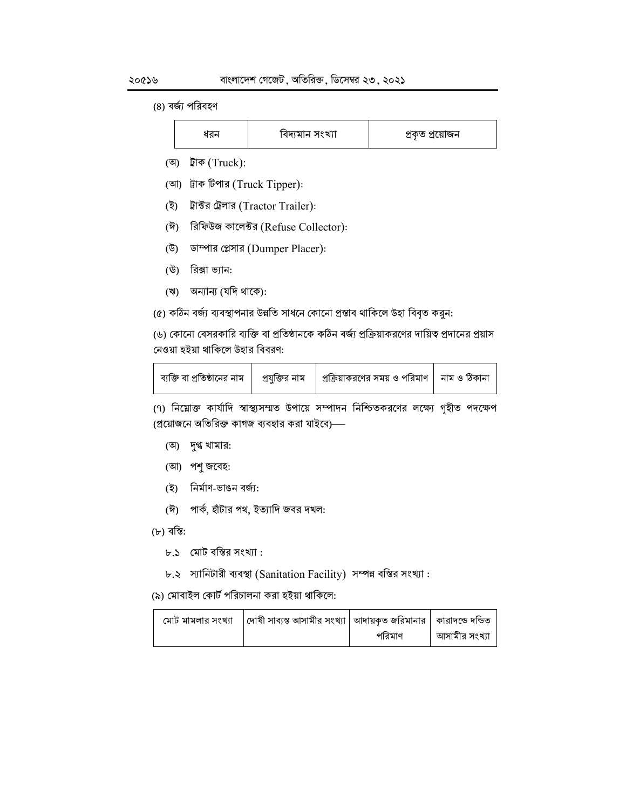#### (৪) বর্জ্য পরিবহণ

| а.<br>יאו | বিদ্যমান সংখ্যা | প্ৰকৃত প্ৰয়োজন |
|-----------|-----------------|-----------------|
|-----------|-----------------|-----------------|

- (অ) ট্রাক (Truck):
- (আ) ট্রাক টিপার (Truck Tipper):
- (ই) ট্রাক্টর ট্রেলার (Tractor Trailer):
- (ঈ) রিফিউজ কালেক্টর (Refuse Collector):
- (উ) ডাম্পার প্লেসার (Dumper Placer):
- (উ) রিক্সা ভ্যান:
- (ঋ) অন্যান্য (যদি থাকে):

(৫) কঠিন বৰ্জ্য ব্যবস্থাপনার উন্নতি সাধনে কোনো প্রস্তাব থাকিলে উহা বিবৃত করুন:

(৬) কোনো বেসরকারি ব্যক্তি বা প্রতিষ্ঠানকে কঠিন বর্জ্য প্রক্রিয়াকরণের দায়িত্ব প্রদানের প্রয়াস নেওয়া হইয়া থাকিলে উহার বিবরণ:

|  |  | <sub>।</sub> ব্যক্তি বা প্রতিষ্ঠানের নাম       প্রযুক্তির নাম      প্রক্রিয়াকরণের সময় ও পরিমাণ    নাম ও ঠিকানা |  |
|--|--|------------------------------------------------------------------------------------------------------------------|--|
|--|--|------------------------------------------------------------------------------------------------------------------|--|

(৭) নিয়োক্ত কার্যাদি স্বাস্থ্যসম্মত উপায়ে সম্পাদন নিশ্চিতকরণের লক্ষ্যে গৃহীত পদক্ষেপ (প্রয়োজনে অতিরিক্ত কাগজ ব্যবহার করা যাইবে)—

- (অ) দুগ্ধ খামার:
- (আ) পশু জবেহ:
- নিৰ্মাণ-ভাঙন বৰ্জ্য: (ই)
- (ঈ) পার্ক, হাঁটার পথ, ইত্যাদি জবর দখল:

(৮) বস্তি:

- $b.5$  মোট বস্তির সংখ্যা:
- ৮.২ স্যানিটারী ব্যবস্থা (Sanitation Facility) সম্পন্ন বস্তির সংখ্যা:

(৯) মোবাইল কোর্ট পরিচালনা করা হইয়া থাকিলে:

| মোট মামলার সংখ্যা   দোষী সাব্যস্ত আসামীর সংখ্যা   আদায়কৃত জরিমানার   কারাদন্ডে দন্ডিত |        |               |
|----------------------------------------------------------------------------------------|--------|---------------|
|                                                                                        | পরিমাণ | আসামীর সংখ্যা |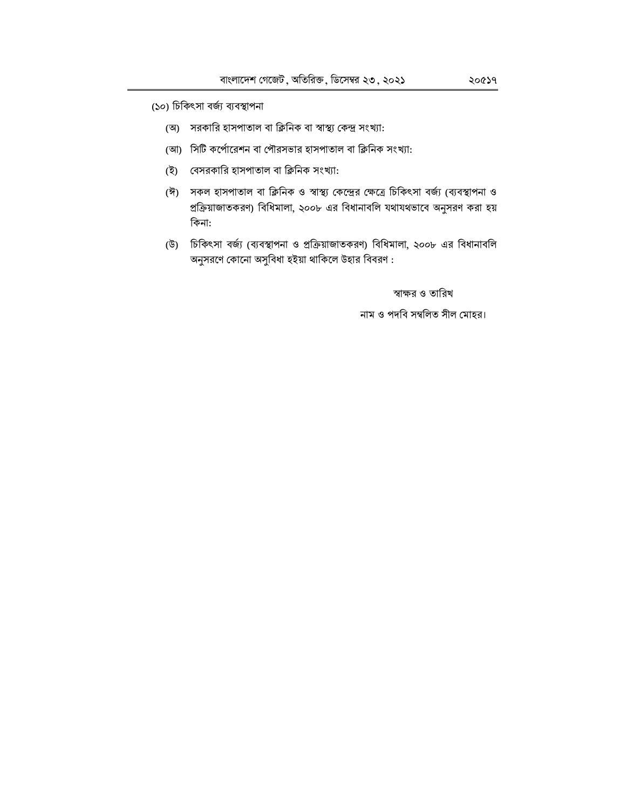(১০) চিকিৎসা বৰ্জ্য ব্যবস্থাপনা

- (অ) সরকারি হাসপাতাল বা ক্লিনিক বা স্বাস্থ্য কেন্দ্র সংখ্যা:
- (আ) সিটি কর্পোরেশন বা পৌরসভার হাসপাতাল বা ক্লিনিক সংখ্যা:
- (ই) বেসরকারি হাসপাতাল বা ক্লিনিক সংখ্যা:
- (ঈ) সকল হাসপাতাল বা ক্লিনিক ও স্বাস্থ্য কেন্দ্রের ক্ষেত্রে চিকিৎসা বর্জ্য (ব্যবস্থাপনা ও প্রক্রিয়াজাতকরণ) বিধিমালা, ২০০৮ এর বিধানাবলি যথাযথভাবে অনুসরণ করা হয় কিনা:
- (উ) চিকিৎসা বর্জ্য (ব্যবস্থাপনা ও প্রক্রিয়াজাতকরণ) বিধিমালা, ২০০৮ এর বিধানাবলি অনুসরণে কোনো অসুবিধা হইয়া থাকিলে উহার বিবরণ :

স্বাক্ষর ও তারিখ

নাম ও পদবি সম্বলিত সীল মোহর।